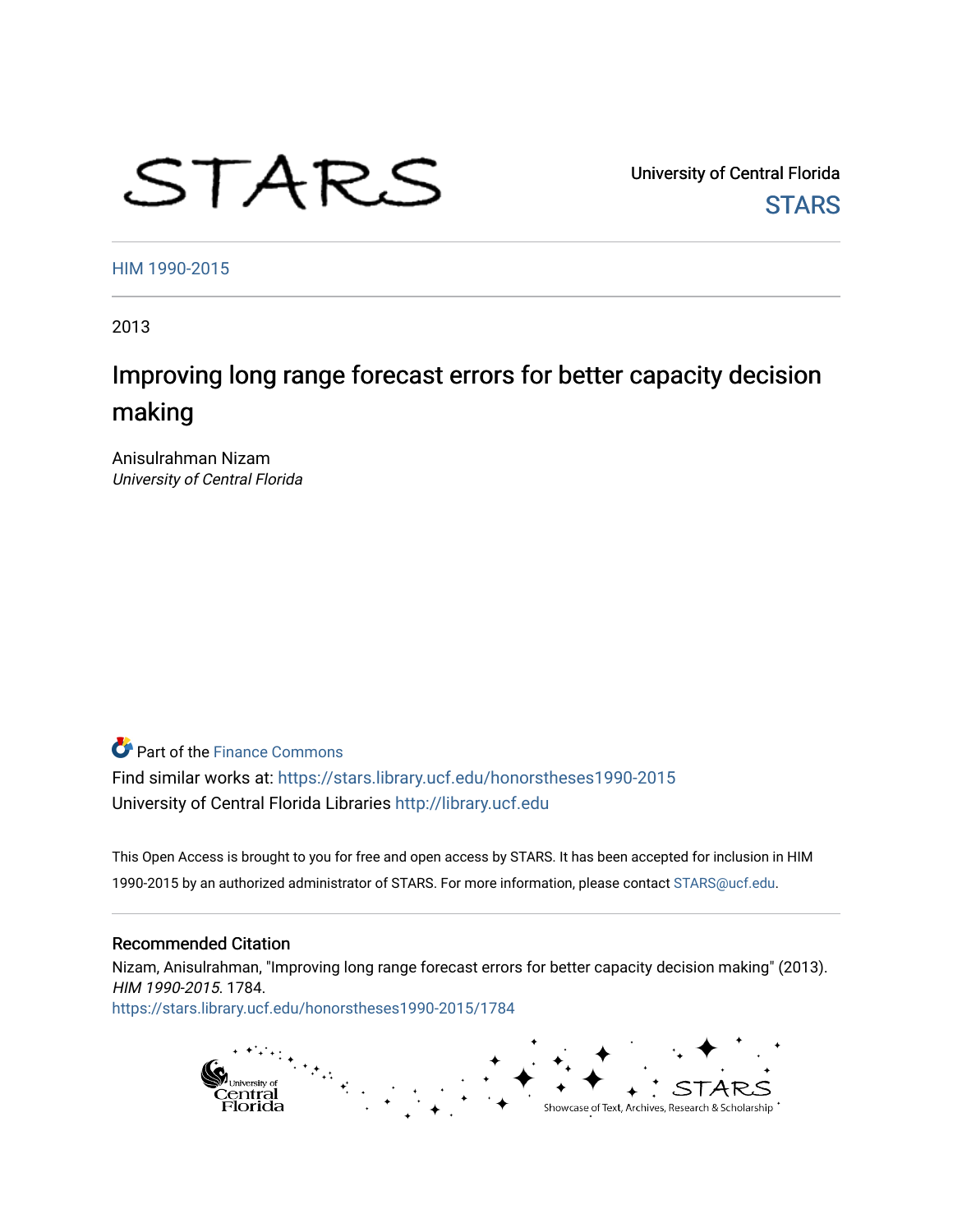# STARS

University of Central Florida **STARS** 

[HIM 1990-2015](https://stars.library.ucf.edu/honorstheses1990-2015) 

2013

## Improving long range forecast errors for better capacity decision making

Anisulrahman Nizam University of Central Florida

## **P** Part of the Finance Commons

Find similar works at: <https://stars.library.ucf.edu/honorstheses1990-2015> University of Central Florida Libraries [http://library.ucf.edu](http://library.ucf.edu/) 

This Open Access is brought to you for free and open access by STARS. It has been accepted for inclusion in HIM 1990-2015 by an authorized administrator of STARS. For more information, please contact [STARS@ucf.edu](mailto:STARS@ucf.edu).

#### Recommended Citation

Nizam, Anisulrahman, "Improving long range forecast errors for better capacity decision making" (2013). HIM 1990-2015. 1784.

[https://stars.library.ucf.edu/honorstheses1990-2015/1784](https://stars.library.ucf.edu/honorstheses1990-2015/1784?utm_source=stars.library.ucf.edu%2Fhonorstheses1990-2015%2F1784&utm_medium=PDF&utm_campaign=PDFCoverPages) 

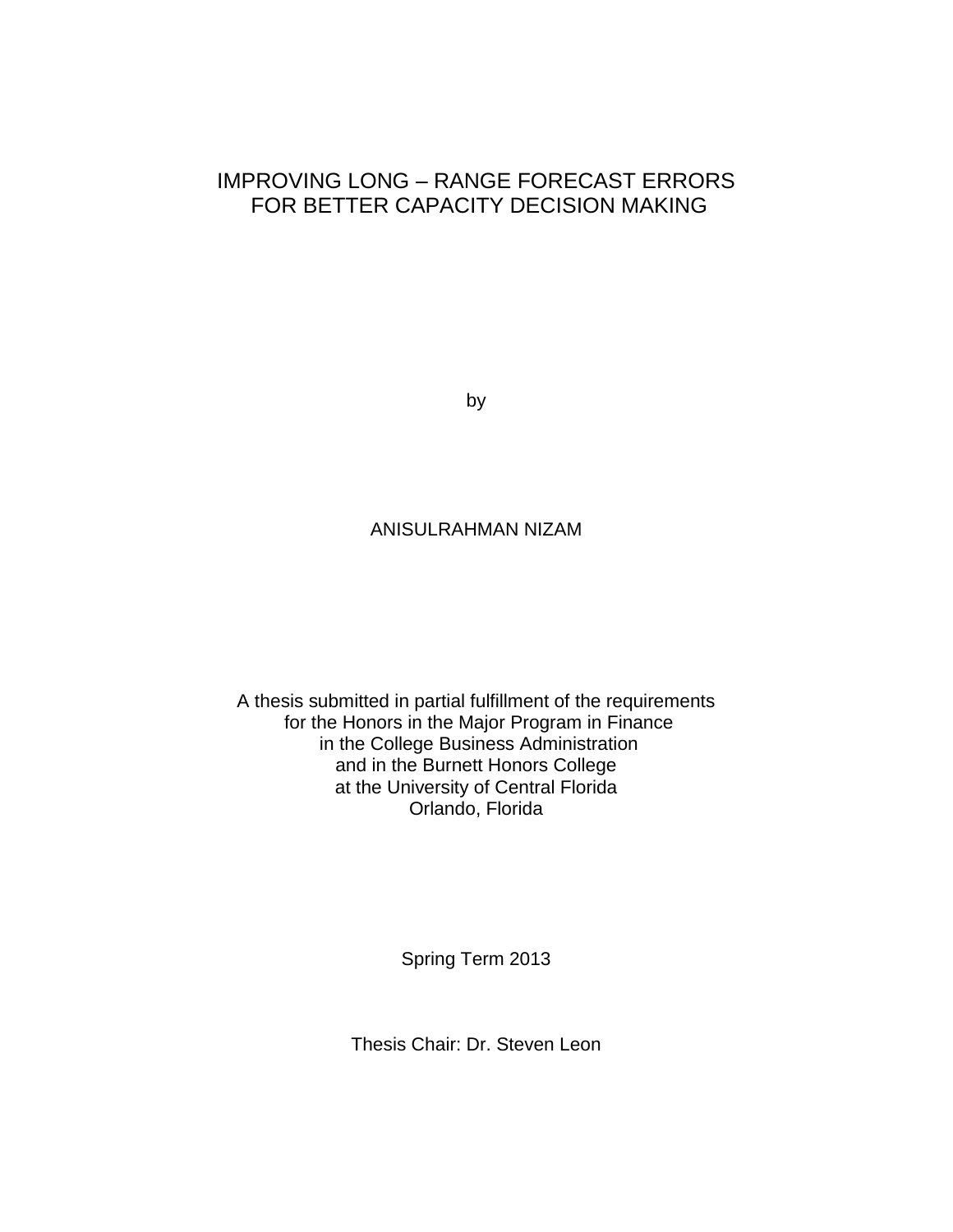## IMPROVING LONG – RANGE FORECAST ERRORS FOR BETTER CAPACITY DECISION MAKING

by

#### ANISULRAHMAN NIZAM

A thesis submitted in partial fulfillment of the requirements for the Honors in the Major Program in Finance in the College Business Administration and in the Burnett Honors College at the University of Central Florida Orlando, Florida

Spring Term 2013

Thesis Chair: Dr. Steven Leon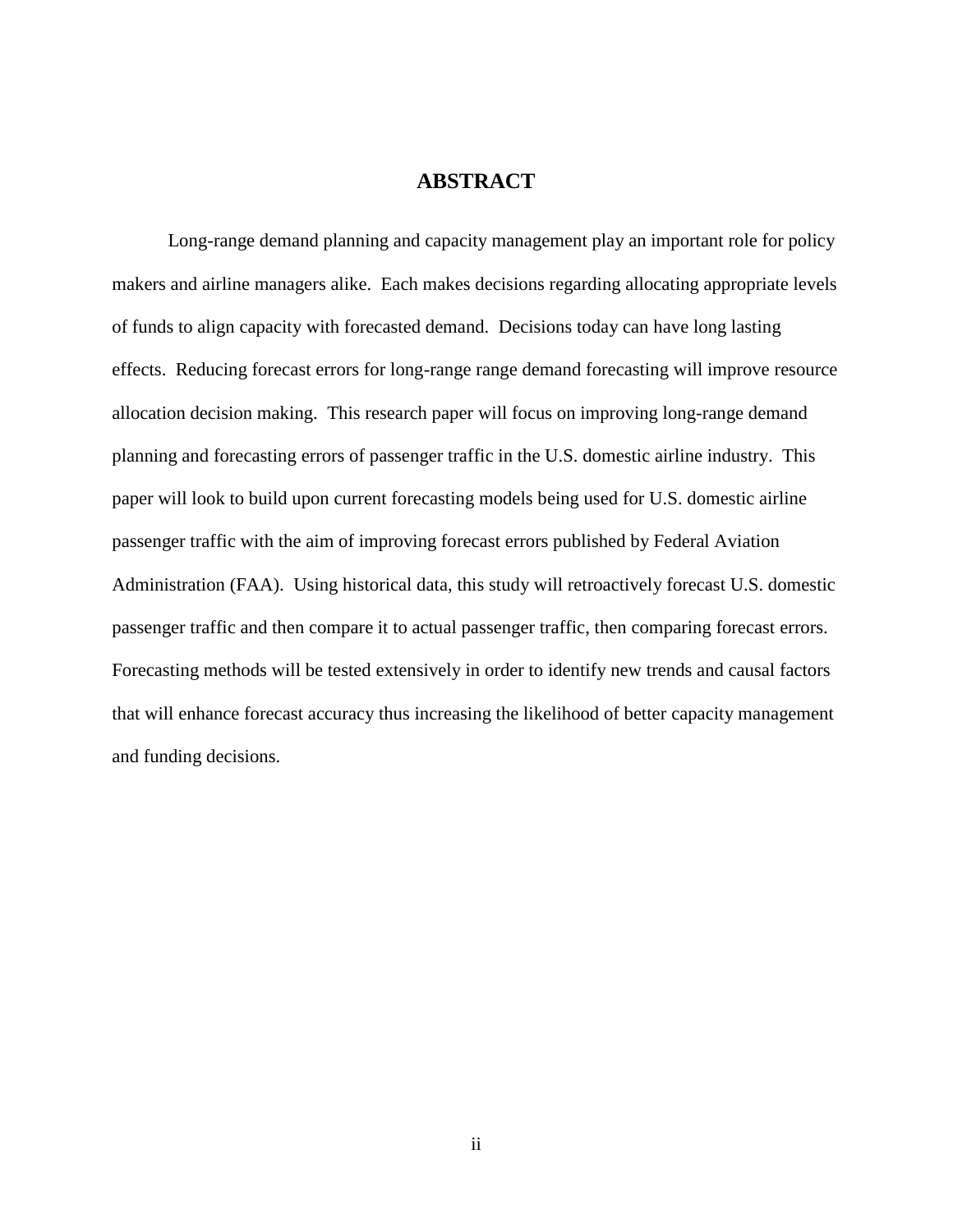#### **ABSTRACT**

Long-range demand planning and capacity management play an important role for policy makers and airline managers alike. Each makes decisions regarding allocating appropriate levels of funds to align capacity with forecasted demand. Decisions today can have long lasting effects. Reducing forecast errors for long-range range demand forecasting will improve resource allocation decision making. This research paper will focus on improving long-range demand planning and forecasting errors of passenger traffic in the U.S. domestic airline industry. This paper will look to build upon current forecasting models being used for U.S. domestic airline passenger traffic with the aim of improving forecast errors published by Federal Aviation Administration (FAA). Using historical data, this study will retroactively forecast U.S. domestic passenger traffic and then compare it to actual passenger traffic, then comparing forecast errors. Forecasting methods will be tested extensively in order to identify new trends and causal factors that will enhance forecast accuracy thus increasing the likelihood of better capacity management and funding decisions.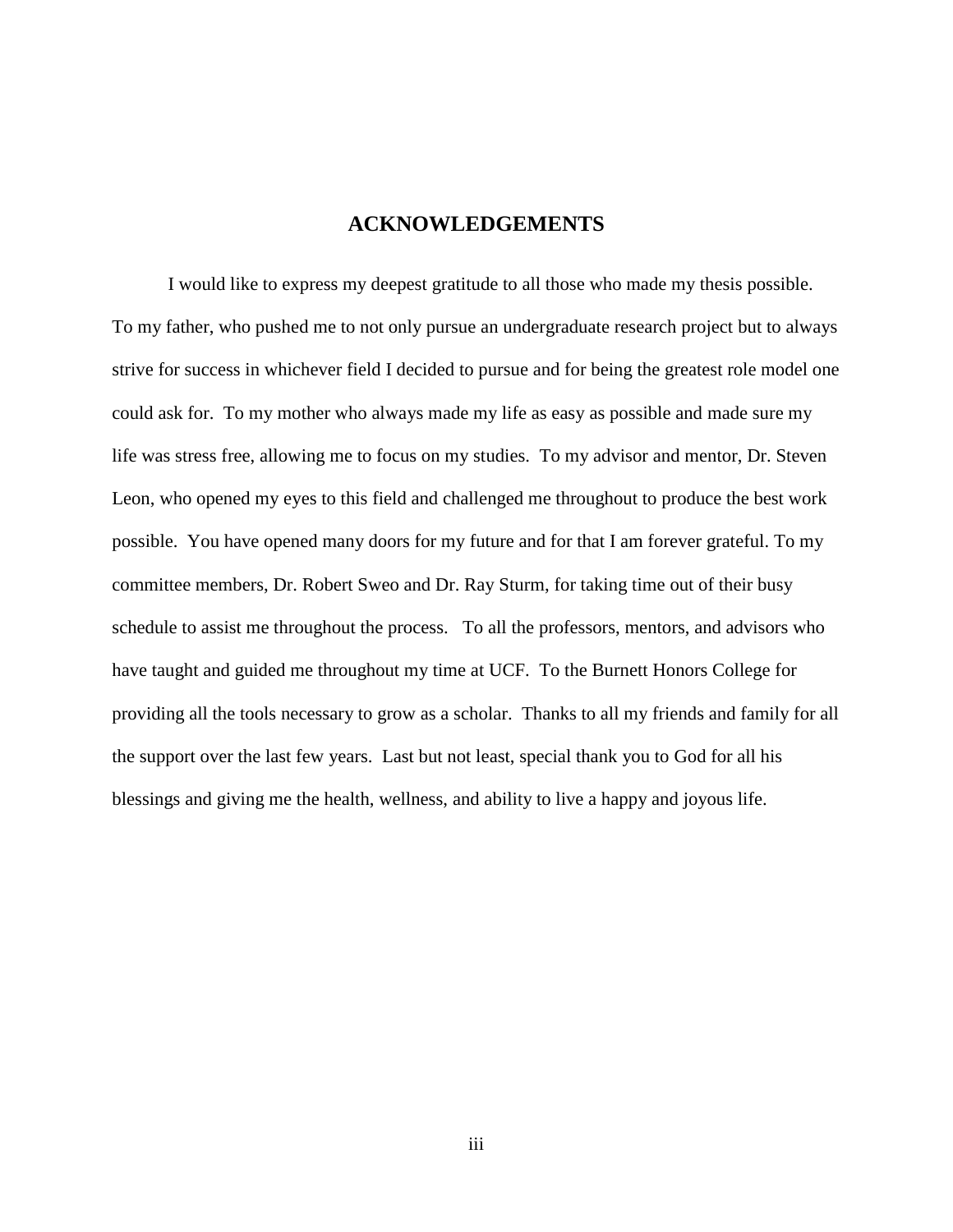#### **ACKNOWLEDGEMENTS**

I would like to express my deepest gratitude to all those who made my thesis possible. To my father, who pushed me to not only pursue an undergraduate research project but to always strive for success in whichever field I decided to pursue and for being the greatest role model one could ask for. To my mother who always made my life as easy as possible and made sure my life was stress free, allowing me to focus on my studies. To my advisor and mentor, Dr. Steven Leon, who opened my eyes to this field and challenged me throughout to produce the best work possible. You have opened many doors for my future and for that I am forever grateful. To my committee members, Dr. Robert Sweo and Dr. Ray Sturm, for taking time out of their busy schedule to assist me throughout the process. To all the professors, mentors, and advisors who have taught and guided me throughout my time at UCF. To the Burnett Honors College for providing all the tools necessary to grow as a scholar. Thanks to all my friends and family for all the support over the last few years. Last but not least, special thank you to God for all his blessings and giving me the health, wellness, and ability to live a happy and joyous life.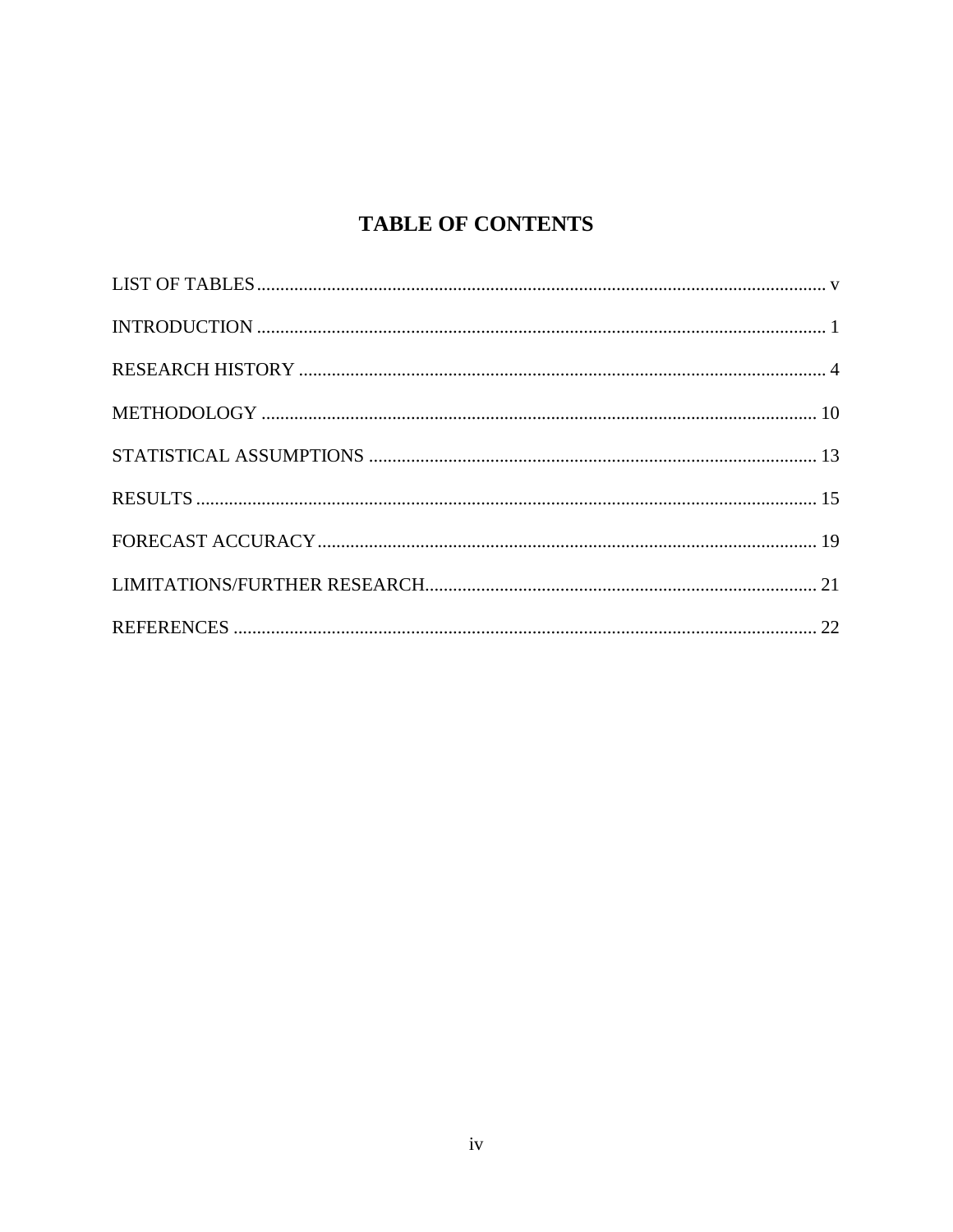## **TABLE OF CONTENTS**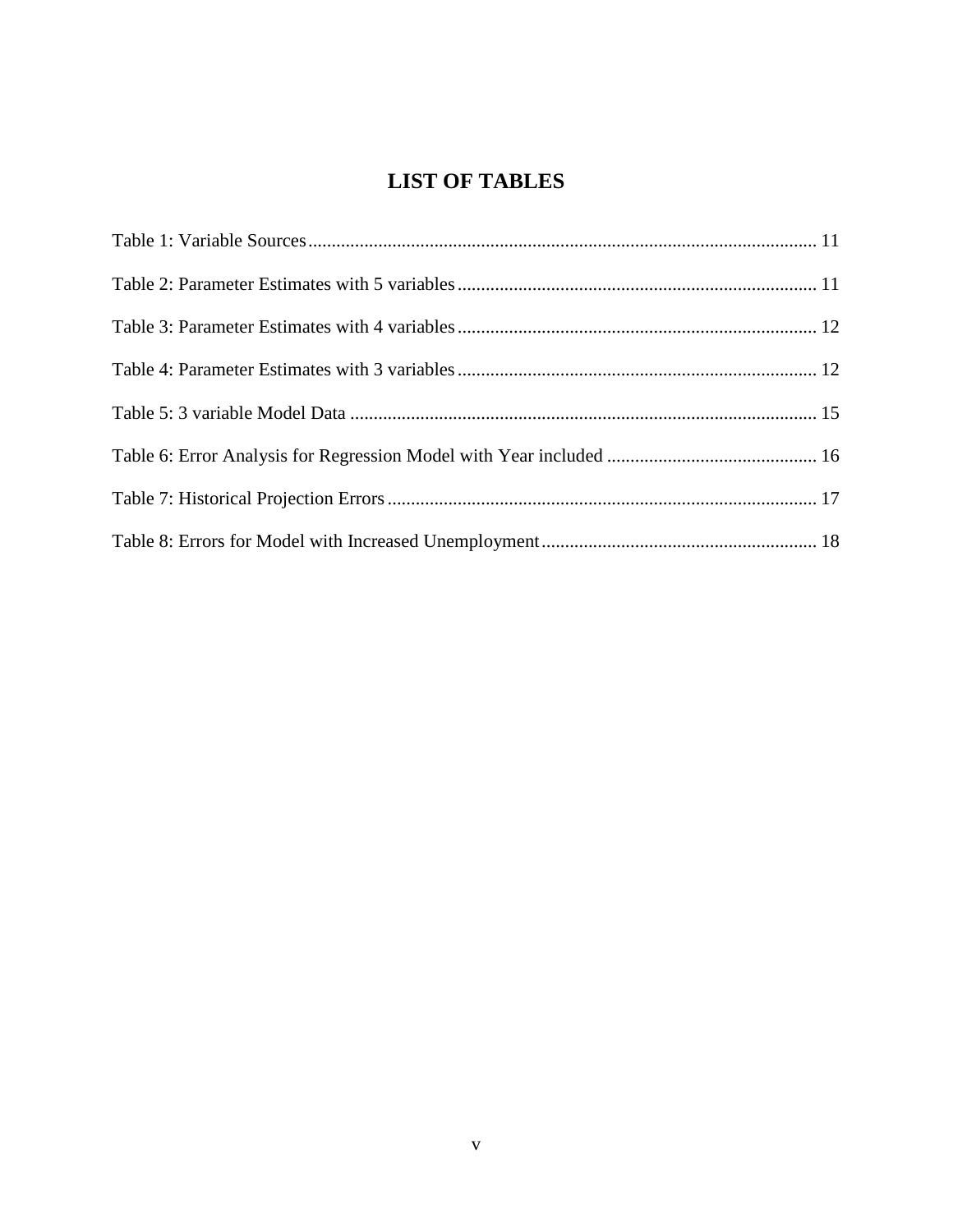## **LIST OF TABLES**

<span id="page-5-0"></span>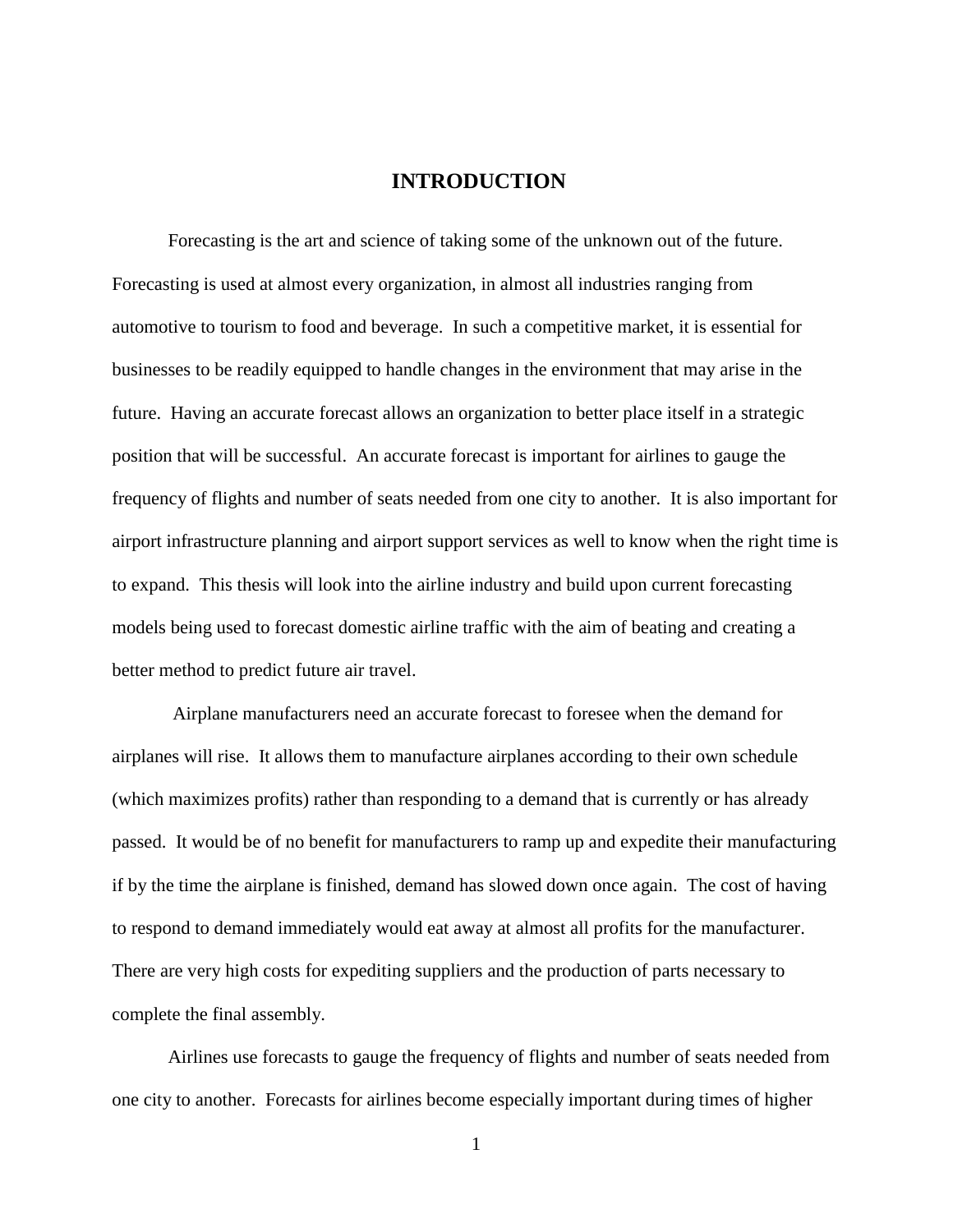#### <span id="page-6-0"></span>**INTRODUCTION**

Forecasting is the art and science of taking some of the unknown out of the future. Forecasting is used at almost every organization, in almost all industries ranging from automotive to tourism to food and beverage. In such a competitive market, it is essential for businesses to be readily equipped to handle changes in the environment that may arise in the future. Having an accurate forecast allows an organization to better place itself in a strategic position that will be successful. An accurate forecast is important for airlines to gauge the frequency of flights and number of seats needed from one city to another. It is also important for airport infrastructure planning and airport support services as well to know when the right time is to expand. This thesis will look into the airline industry and build upon current forecasting models being used to forecast domestic airline traffic with the aim of beating and creating a better method to predict future air travel.

Airplane manufacturers need an accurate forecast to foresee when the demand for airplanes will rise. It allows them to manufacture airplanes according to their own schedule (which maximizes profits) rather than responding to a demand that is currently or has already passed. It would be of no benefit for manufacturers to ramp up and expedite their manufacturing if by the time the airplane is finished, demand has slowed down once again. The cost of having to respond to demand immediately would eat away at almost all profits for the manufacturer. There are very high costs for expediting suppliers and the production of parts necessary to complete the final assembly.

Airlines use forecasts to gauge the frequency of flights and number of seats needed from one city to another. Forecasts for airlines become especially important during times of higher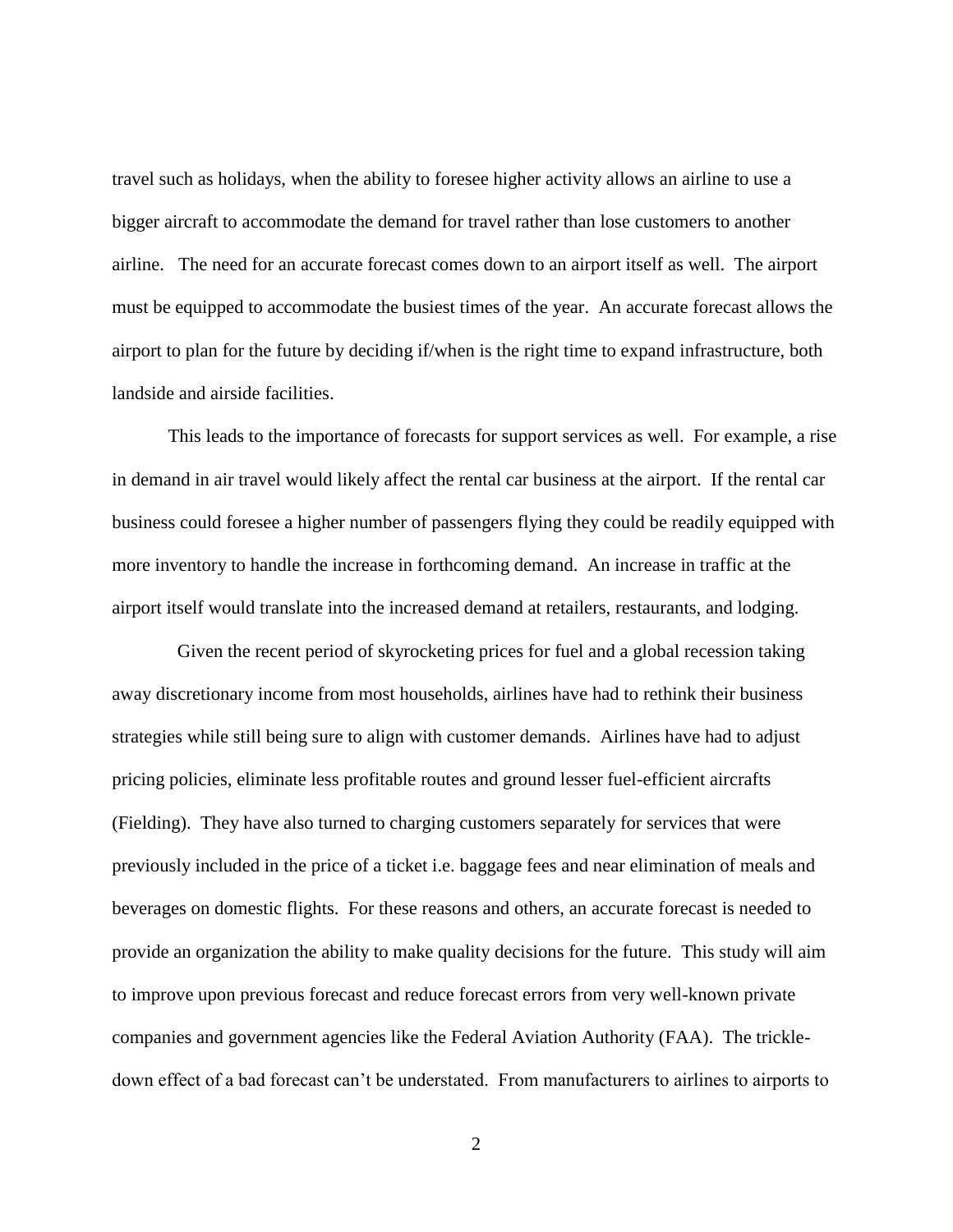travel such as holidays, when the ability to foresee higher activity allows an airline to use a bigger aircraft to accommodate the demand for travel rather than lose customers to another airline. The need for an accurate forecast comes down to an airport itself as well. The airport must be equipped to accommodate the busiest times of the year. An accurate forecast allows the airport to plan for the future by deciding if/when is the right time to expand infrastructure, both landside and airside facilities.

This leads to the importance of forecasts for support services as well. For example, a rise in demand in air travel would likely affect the rental car business at the airport. If the rental car business could foresee a higher number of passengers flying they could be readily equipped with more inventory to handle the increase in forthcoming demand. An increase in traffic at the airport itself would translate into the increased demand at retailers, restaurants, and lodging.

 Given the recent period of skyrocketing prices for fuel and a global recession taking away discretionary income from most households, airlines have had to rethink their business strategies while still being sure to align with customer demands. Airlines have had to adjust pricing policies, eliminate less profitable routes and ground lesser fuel-efficient aircrafts (Fielding). They have also turned to charging customers separately for services that were previously included in the price of a ticket i.e. baggage fees and near elimination of meals and beverages on domestic flights. For these reasons and others, an accurate forecast is needed to provide an organization the ability to make quality decisions for the future. This study will aim to improve upon previous forecast and reduce forecast errors from very well-known private companies and government agencies like the Federal Aviation Authority (FAA). The trickledown effect of a bad forecast can't be understated. From manufacturers to airlines to airports to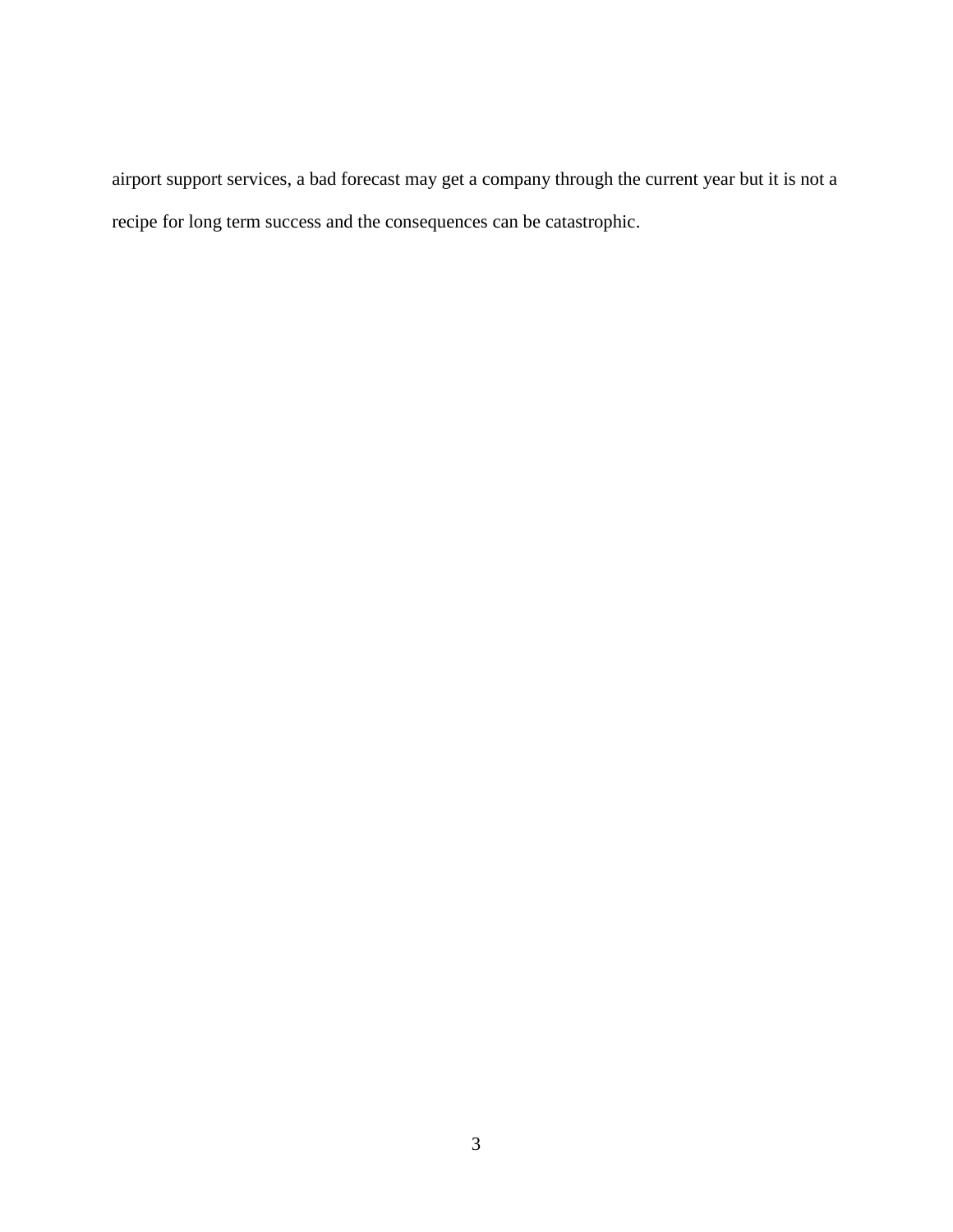airport support services, a bad forecast may get a company through the current year but it is not a recipe for long term success and the consequences can be catastrophic.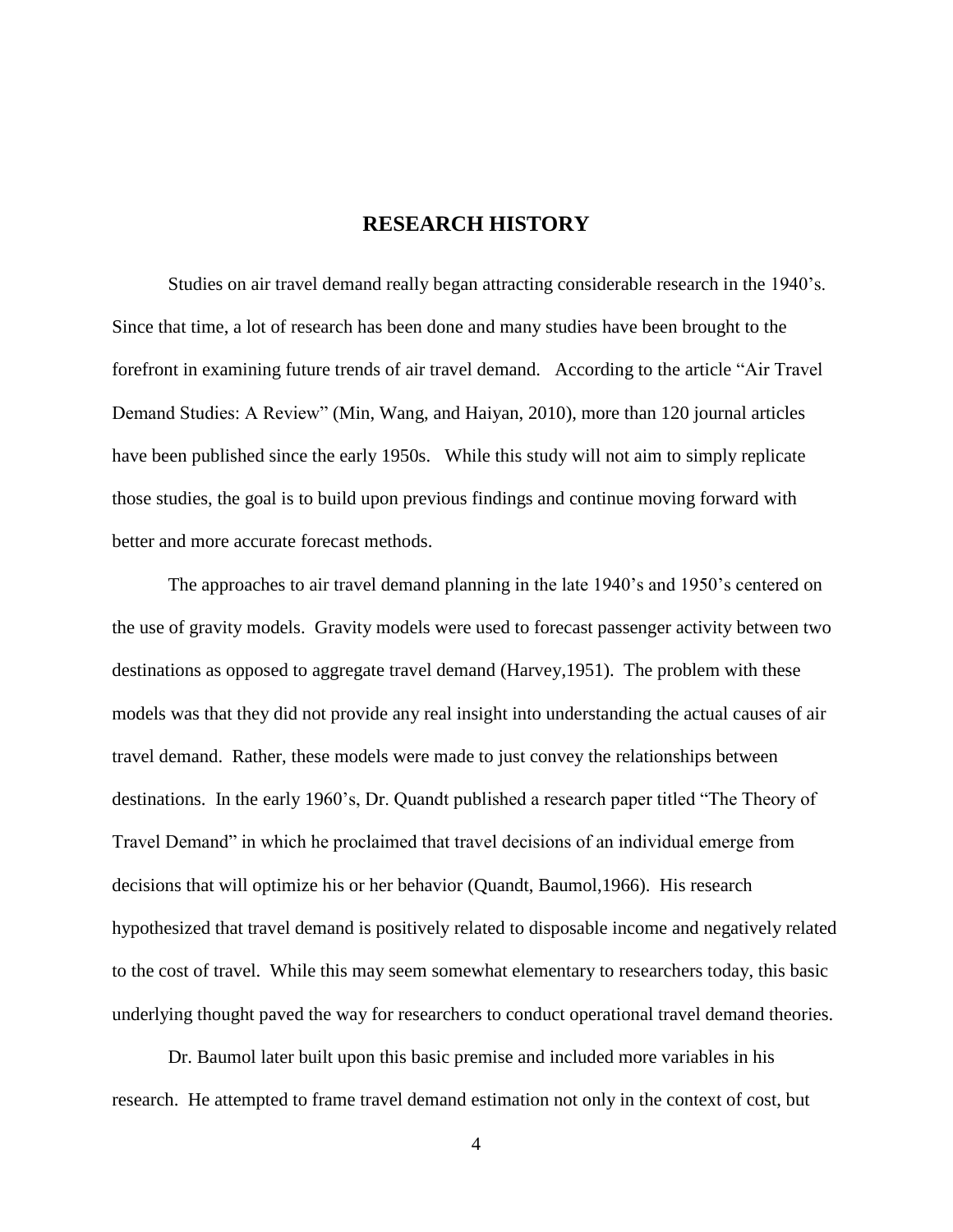#### **RESEARCH HISTORY**

<span id="page-9-0"></span>Studies on air travel demand really began attracting considerable research in the 1940's. Since that time, a lot of research has been done and many studies have been brought to the forefront in examining future trends of air travel demand. According to the article "Air Travel Demand Studies: A Review" (Min, Wang, and Haiyan, 2010), more than 120 journal articles have been published since the early 1950s. While this study will not aim to simply replicate those studies, the goal is to build upon previous findings and continue moving forward with better and more accurate forecast methods.

The approaches to air travel demand planning in the late 1940's and 1950's centered on the use of gravity models. Gravity models were used to forecast passenger activity between two destinations as opposed to aggregate travel demand (Harvey,1951). The problem with these models was that they did not provide any real insight into understanding the actual causes of air travel demand. Rather, these models were made to just convey the relationships between destinations. In the early 1960's, Dr. Quandt published a research paper titled "The Theory of Travel Demand" in which he proclaimed that travel decisions of an individual emerge from decisions that will optimize his or her behavior (Quandt, Baumol,1966). His research hypothesized that travel demand is positively related to disposable income and negatively related to the cost of travel. While this may seem somewhat elementary to researchers today, this basic underlying thought paved the way for researchers to conduct operational travel demand theories.

Dr. Baumol later built upon this basic premise and included more variables in his research. He attempted to frame travel demand estimation not only in the context of cost, but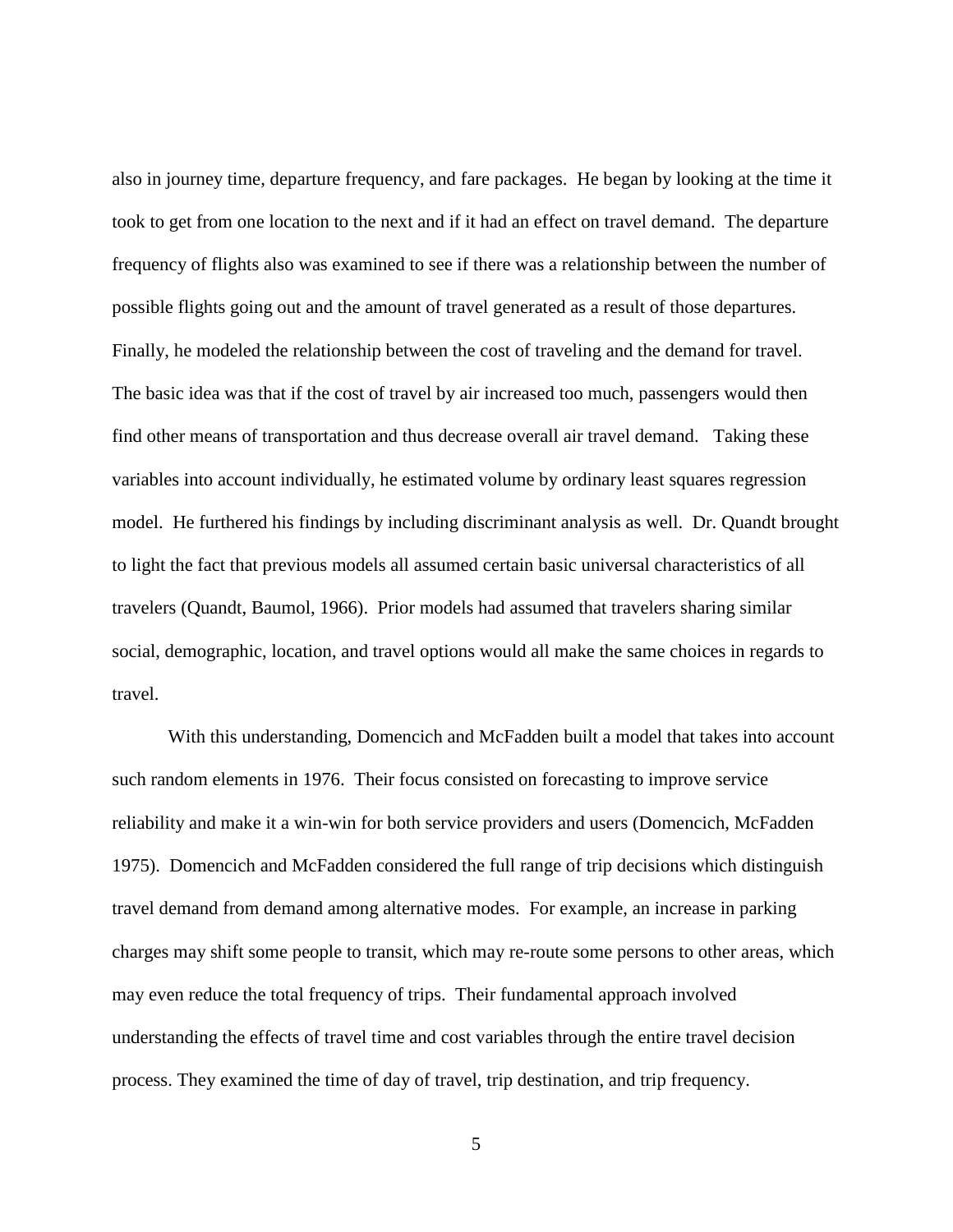also in journey time, departure frequency, and fare packages. He began by looking at the time it took to get from one location to the next and if it had an effect on travel demand. The departure frequency of flights also was examined to see if there was a relationship between the number of possible flights going out and the amount of travel generated as a result of those departures. Finally, he modeled the relationship between the cost of traveling and the demand for travel. The basic idea was that if the cost of travel by air increased too much, passengers would then find other means of transportation and thus decrease overall air travel demand. Taking these variables into account individually, he estimated volume by ordinary least squares regression model. He furthered his findings by including discriminant analysis as well. Dr. Quandt brought to light the fact that previous models all assumed certain basic universal characteristics of all travelers (Quandt, Baumol, 1966). Prior models had assumed that travelers sharing similar social, demographic, location, and travel options would all make the same choices in regards to travel.

With this understanding, Domencich and McFadden built a model that takes into account such random elements in 1976. Their focus consisted on forecasting to improve service reliability and make it a win-win for both service providers and users (Domencich, McFadden 1975). Domencich and McFadden considered the full range of trip decisions which distinguish travel demand from demand among alternative modes. For example, an increase in parking charges may shift some people to transit, which may re-route some persons to other areas, which may even reduce the total frequency of trips. Their fundamental approach involved understanding the effects of travel time and cost variables through the entire travel decision process. They examined the time of day of travel, trip destination, and trip frequency.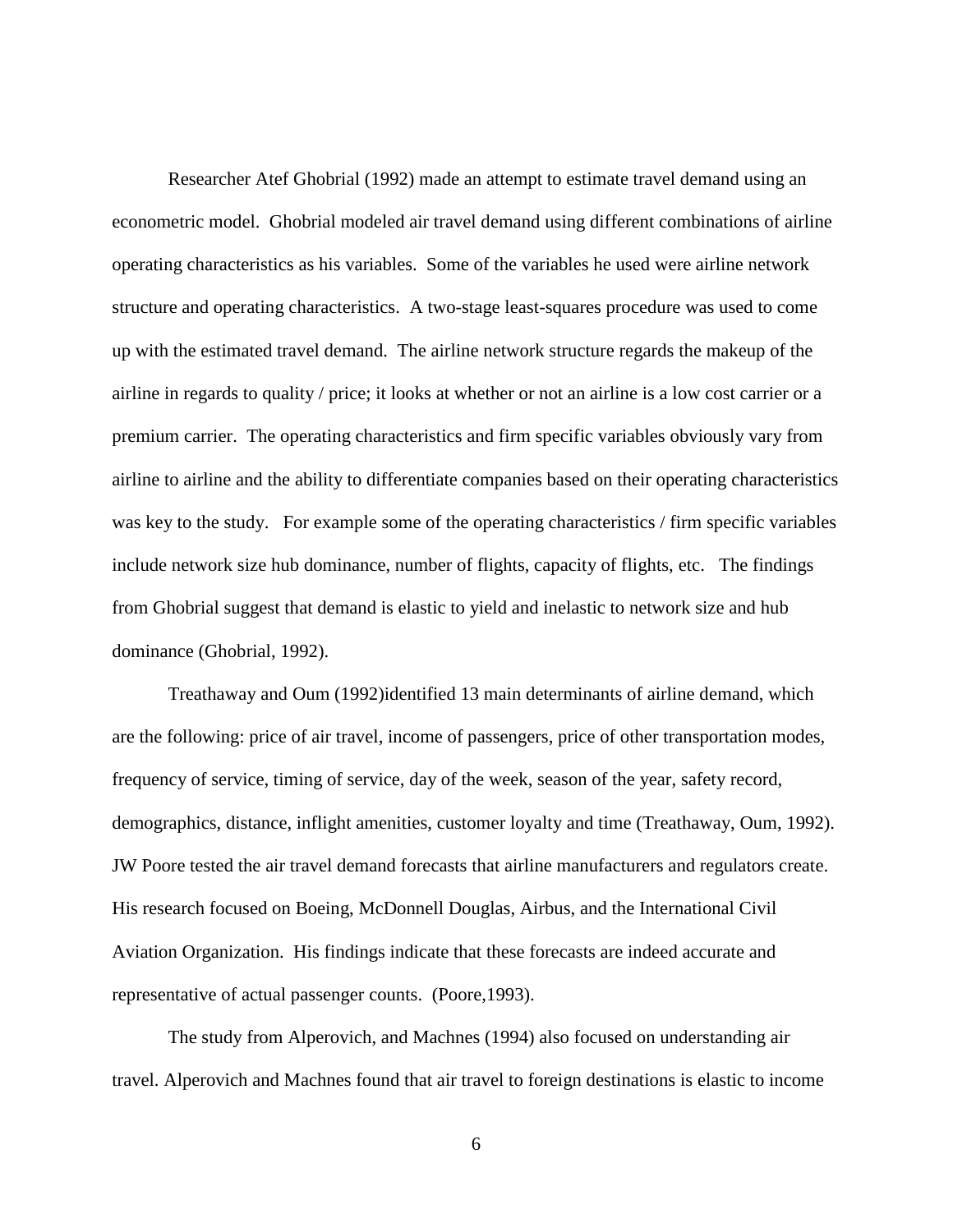Researcher Atef Ghobrial (1992) made an attempt to estimate travel demand using an econometric model. Ghobrial modeled air travel demand using different combinations of airline operating characteristics as his variables. Some of the variables he used were airline network structure and operating characteristics. A two-stage least-squares procedure was used to come up with the estimated travel demand. The airline network structure regards the makeup of the airline in regards to quality / price; it looks at whether or not an airline is a low cost carrier or a premium carrier. The operating characteristics and firm specific variables obviously vary from airline to airline and the ability to differentiate companies based on their operating characteristics was key to the study. For example some of the operating characteristics / firm specific variables include network size hub dominance, number of flights, capacity of flights, etc. The findings from Ghobrial suggest that demand is elastic to yield and inelastic to network size and hub dominance (Ghobrial, 1992).

Treathaway and Oum (1992)identified 13 main determinants of airline demand, which are the following: price of air travel, income of passengers, price of other transportation modes, frequency of service, timing of service, day of the week, season of the year, safety record, demographics, distance, inflight amenities, customer loyalty and time (Treathaway, Oum, 1992). JW Poore tested the air travel demand forecasts that airline manufacturers and regulators create. His research focused on Boeing, McDonnell Douglas, Airbus, and the International Civil Aviation Organization. His findings indicate that these forecasts are indeed accurate and representative of actual passenger counts. (Poore,1993).

The study from Alperovich, and Machnes (1994) also focused on understanding air travel. Alperovich and Machnes found that air travel to foreign destinations is elastic to income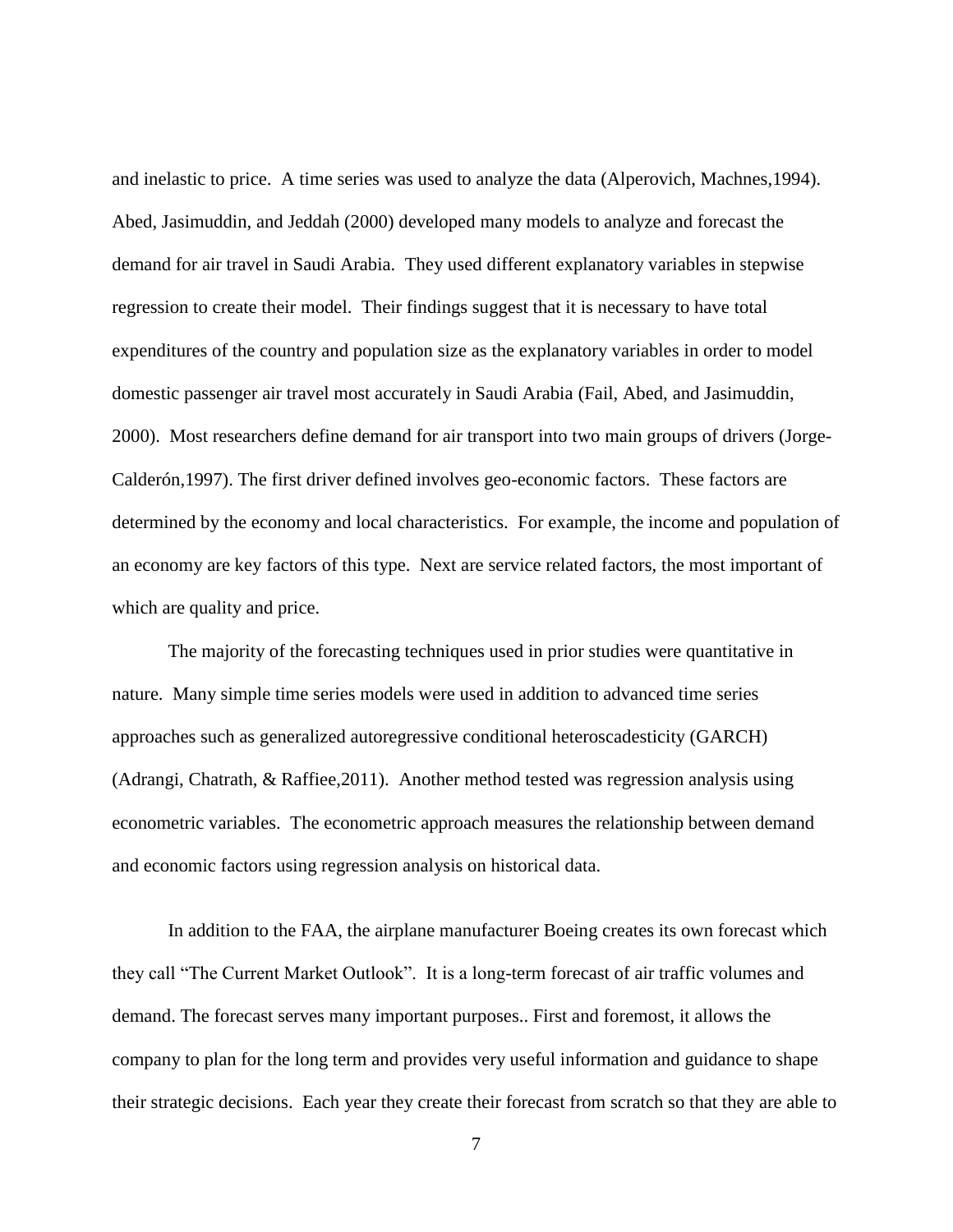and inelastic to price. A time series was used to analyze the data (Alperovich, Machnes,1994). Abed, Jasimuddin, and Jeddah (2000) developed many models to analyze and forecast the demand for air travel in Saudi Arabia. They used different explanatory variables in stepwise regression to create their model. Their findings suggest that it is necessary to have total expenditures of the country and population size as the explanatory variables in order to model domestic passenger air travel most accurately in Saudi Arabia (Fail, Abed, and Jasimuddin, 2000). Most researchers define demand for air transport into two main groups of drivers (Jorge-Calderón,1997). The first driver defined involves geo-economic factors. These factors are determined by the economy and local characteristics. For example, the income and population of an economy are key factors of this type. Next are service related factors, the most important of which are quality and price.

The majority of the forecasting techniques used in prior studies were quantitative in nature. Many simple time series models were used in addition to advanced time series approaches such as generalized autoregressive conditional heteroscadesticity (GARCH) (Adrangi, Chatrath, & Raffiee,2011). Another method tested was regression analysis using econometric variables. The econometric approach measures the relationship between demand and economic factors using regression analysis on historical data.

In addition to the FAA, the airplane manufacturer Boeing creates its own forecast which they call "The Current Market Outlook". It is a long-term forecast of air traffic volumes and demand. The forecast serves many important purposes.. First and foremost, it allows the company to plan for the long term and provides very useful information and guidance to shape their strategic decisions. Each year they create their forecast from scratch so that they are able to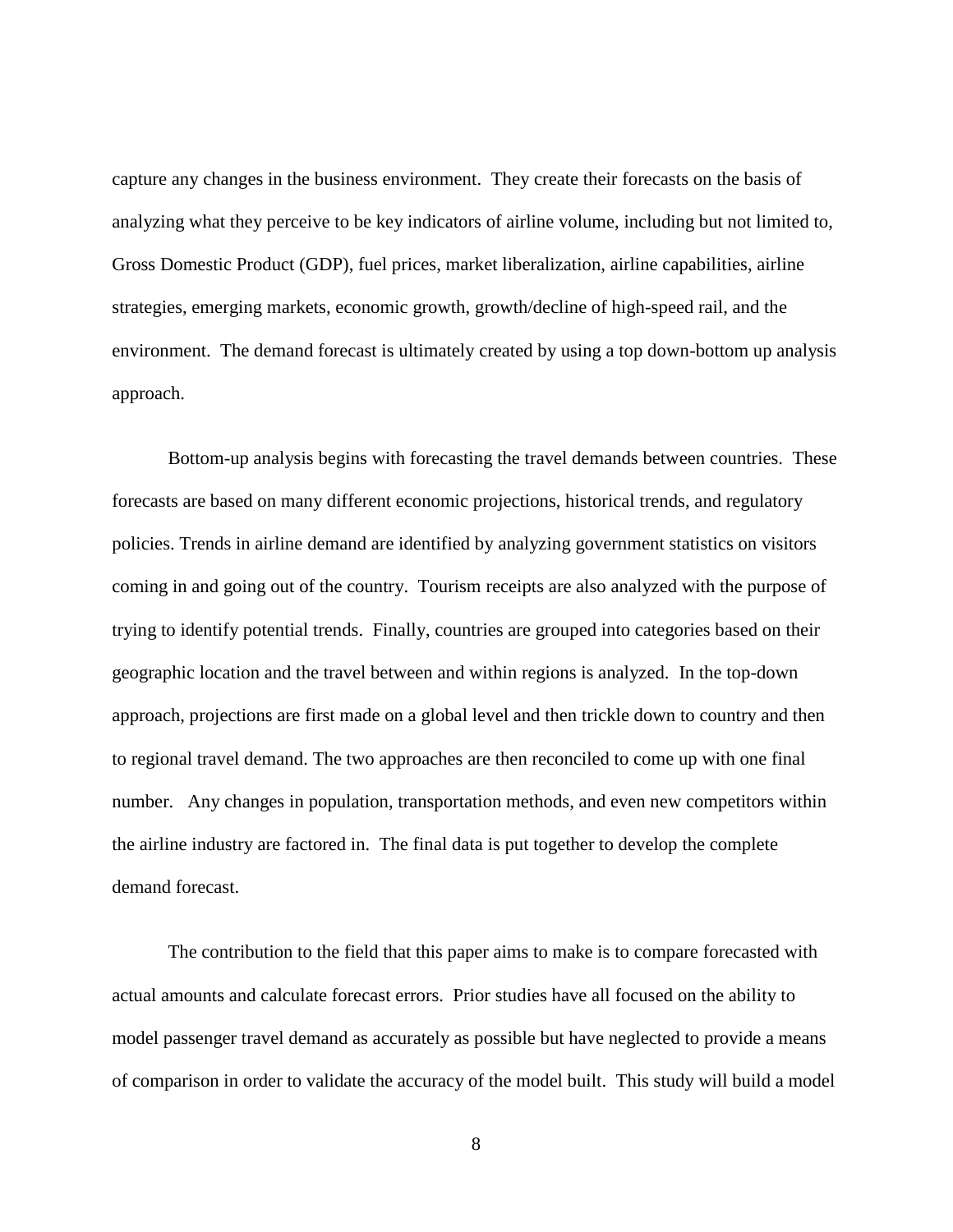capture any changes in the business environment. They create their forecasts on the basis of analyzing what they perceive to be key indicators of airline volume, including but not limited to, Gross Domestic Product (GDP), fuel prices, market liberalization, airline capabilities, airline strategies, emerging markets, economic growth, growth/decline of high-speed rail, and the environment. The demand forecast is ultimately created by using a top down-bottom up analysis approach.

Bottom-up analysis begins with forecasting the travel demands between countries. These forecasts are based on many different economic projections, historical trends, and regulatory policies. Trends in airline demand are identified by analyzing government statistics on visitors coming in and going out of the country. Tourism receipts are also analyzed with the purpose of trying to identify potential trends. Finally, countries are grouped into categories based on their geographic location and the travel between and within regions is analyzed. In the top-down approach, projections are first made on a global level and then trickle down to country and then to regional travel demand. The two approaches are then reconciled to come up with one final number. Any changes in population, transportation methods, and even new competitors within the airline industry are factored in. The final data is put together to develop the complete demand forecast.

The contribution to the field that this paper aims to make is to compare forecasted with actual amounts and calculate forecast errors. Prior studies have all focused on the ability to model passenger travel demand as accurately as possible but have neglected to provide a means of comparison in order to validate the accuracy of the model built. This study will build a model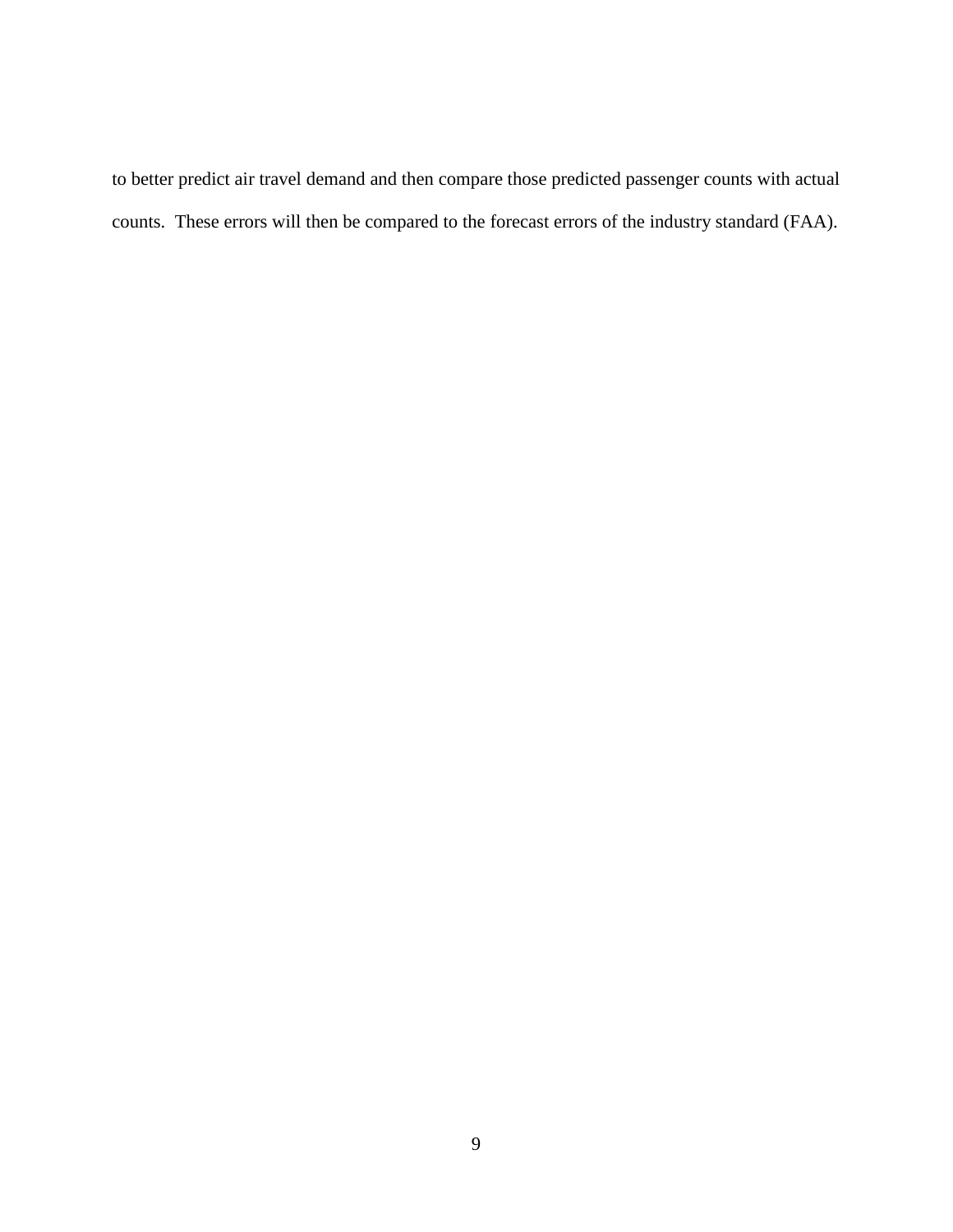to better predict air travel demand and then compare those predicted passenger counts with actual counts. These errors will then be compared to the forecast errors of the industry standard (FAA).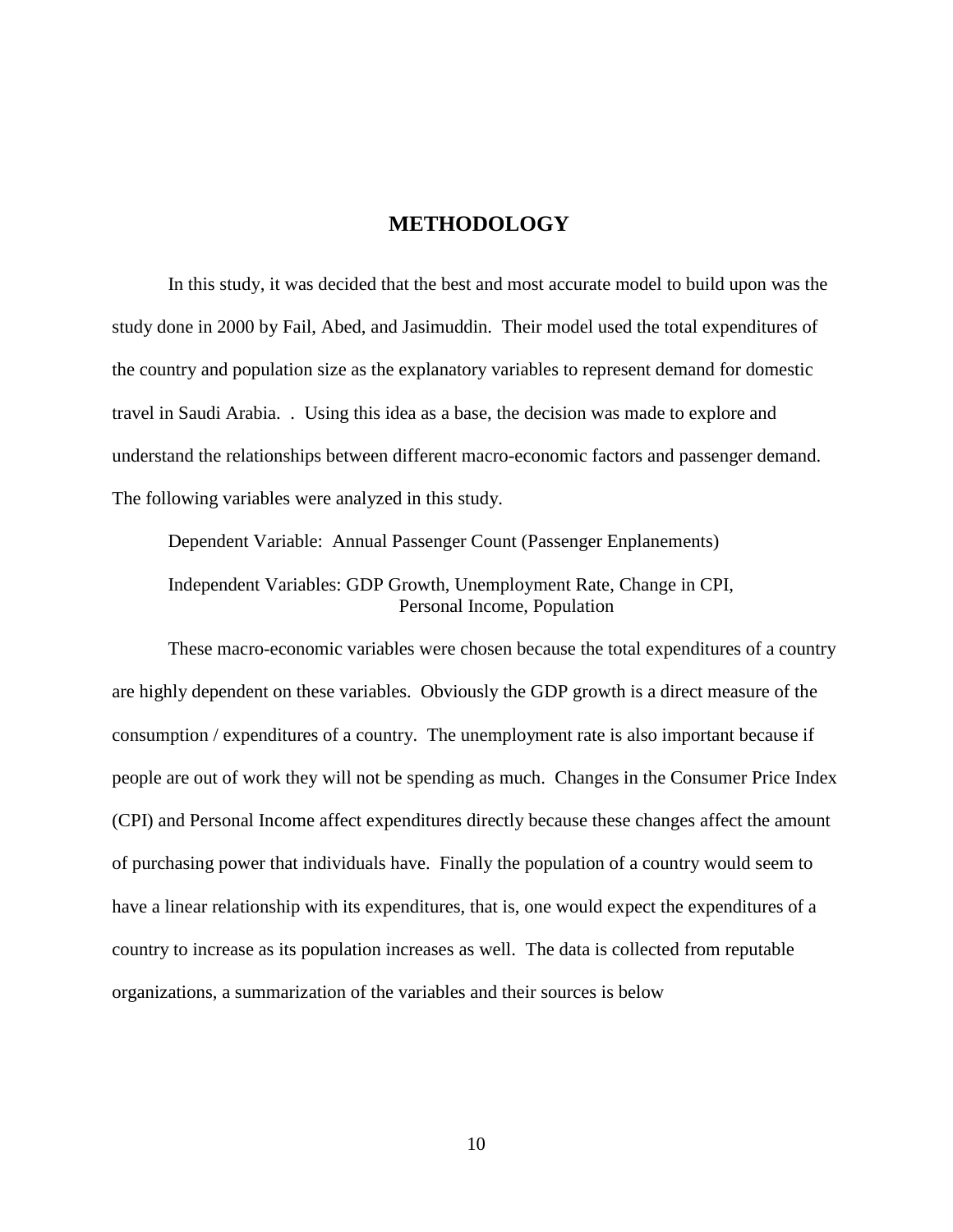#### <span id="page-15-0"></span>**METHODOLOGY**

In this study, it was decided that the best and most accurate model to build upon was the study done in 2000 by Fail, Abed, and Jasimuddin. Their model used the total expenditures of the country and population size as the explanatory variables to represent demand for domestic travel in Saudi Arabia. . Using this idea as a base, the decision was made to explore and understand the relationships between different macro-economic factors and passenger demand. The following variables were analyzed in this study.

Dependent Variable: Annual Passenger Count (Passenger Enplanements) Independent Variables: GDP Growth, Unemployment Rate, Change in CPI, Personal Income, Population

These macro-economic variables were chosen because the total expenditures of a country are highly dependent on these variables. Obviously the GDP growth is a direct measure of the consumption / expenditures of a country. The unemployment rate is also important because if people are out of work they will not be spending as much. Changes in the Consumer Price Index (CPI) and Personal Income affect expenditures directly because these changes affect the amount of purchasing power that individuals have. Finally the population of a country would seem to have a linear relationship with its expenditures, that is, one would expect the expenditures of a country to increase as its population increases as well. The data is collected from reputable organizations, a summarization of the variables and their sources is below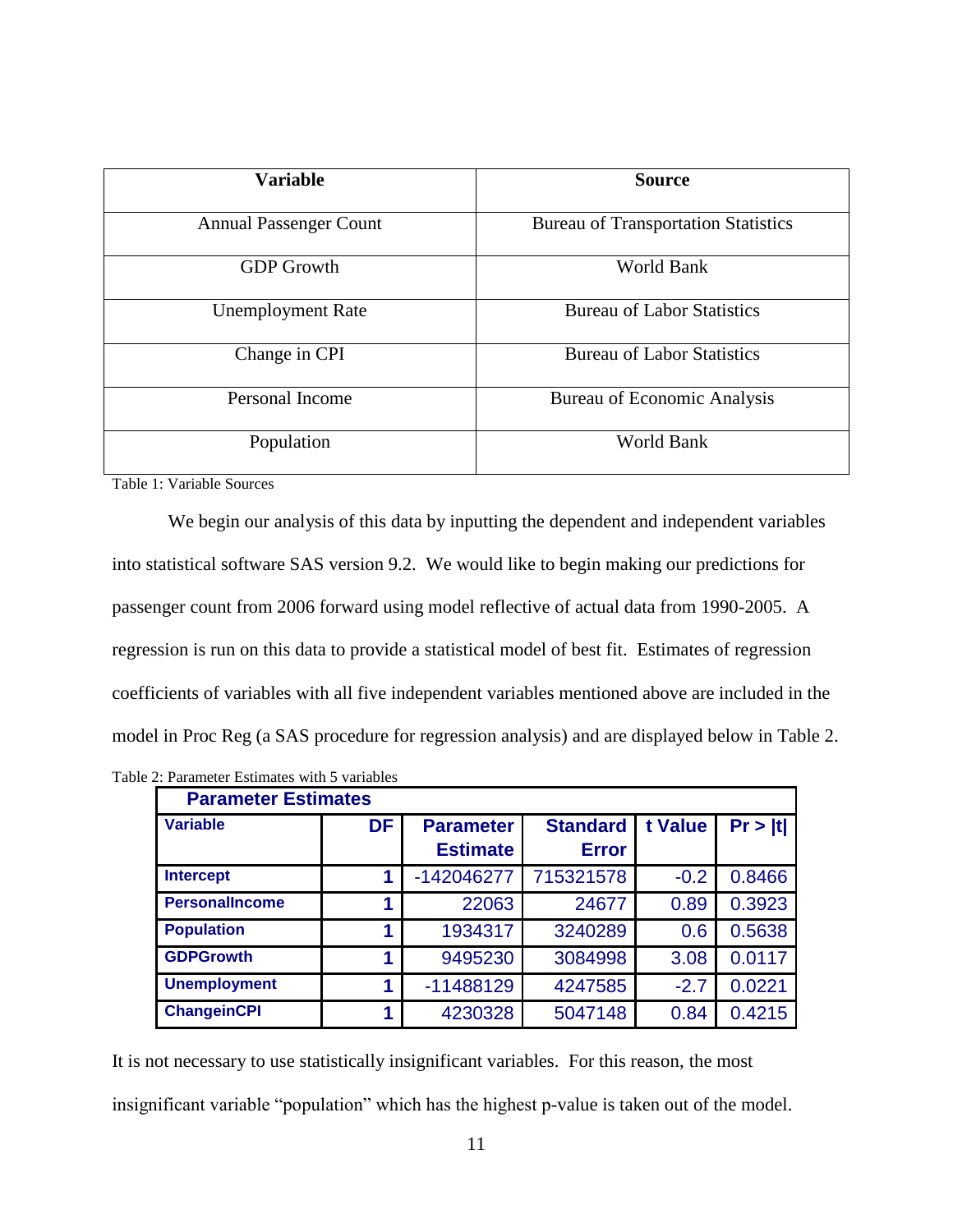| <b>Variable</b>               | <b>Source</b>                              |
|-------------------------------|--------------------------------------------|
| <b>Annual Passenger Count</b> | <b>Bureau of Transportation Statistics</b> |
| <b>GDP</b> Growth             | <b>World Bank</b>                          |
| <b>Unemployment Rate</b>      | <b>Bureau of Labor Statistics</b>          |
| Change in CPI                 | <b>Bureau of Labor Statistics</b>          |
| Personal Income               | <b>Bureau of Economic Analysis</b>         |
| Population                    | World Bank                                 |

<span id="page-16-0"></span>Table 1: Variable Sources

We begin our analysis of this data by inputting the dependent and independent variables into statistical software SAS version 9.2. We would like to begin making our predictions for passenger count from 2006 forward using model reflective of actual data from 1990-2005. A regression is run on this data to provide a statistical model of best fit. Estimates of regression coefficients of variables with all five independent variables mentioned above are included in the model in Proc Reg (a SAS procedure for regression analysis) and are displayed below in Table 2.

| <b>Parameter Estimates</b> |           |                  |                 |         |         |
|----------------------------|-----------|------------------|-----------------|---------|---------|
| <b>Variable</b>            | <b>DF</b> | <b>Parameter</b> | <b>Standard</b> | t Value | Pr >  t |
|                            |           | <b>Estimate</b>  | <b>Error</b>    |         |         |
| <b>Intercept</b>           | 1         | -142046277       | 715321578       | $-0.2$  | 0.8466  |
| <b>PersonalIncome</b>      | 1         | 22063            | 24677           | 0.89    | 0.3923  |
| <b>Population</b>          | 1         | 1934317          | 3240289         | 0.6     | 0.5638  |
| <b>GDPGrowth</b>           | 1         | 9495230          | 3084998         | 3.08    | 0.0117  |
| <b>Unemployment</b>        |           | $-11488129$      | 4247585         | $-2.7$  | 0.0221  |
| <b>ChangeinCPI</b>         | 1         | 4230328          | 5047148         | 0.84    | 0.4215  |

<span id="page-16-1"></span>Table 2: Parameter Estimates with 5 variables

It is not necessary to use statistically insignificant variables. For this reason, the most insignificant variable "population" which has the highest p-value is taken out of the model.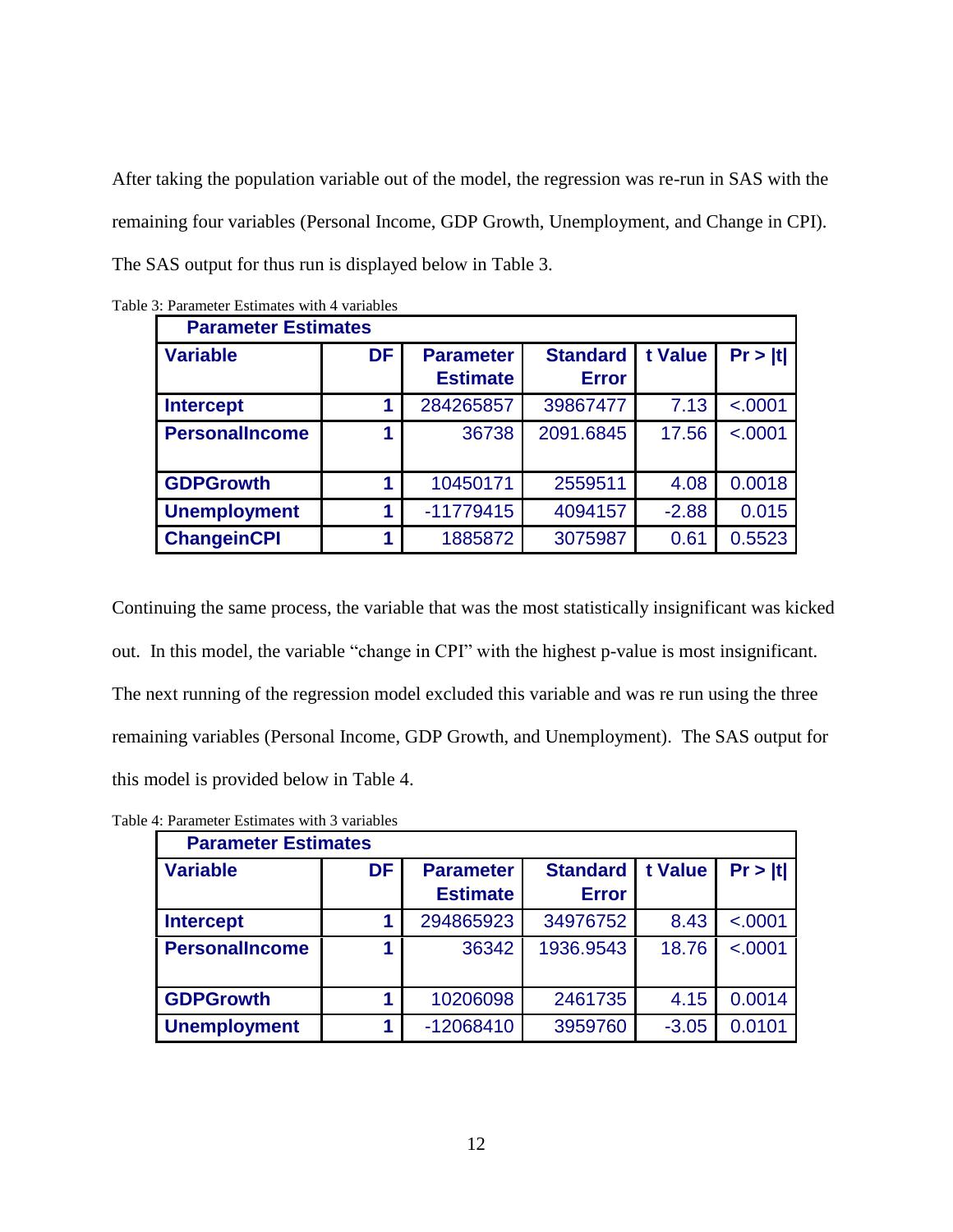After taking the population variable out of the model, the regression was re-run in SAS with the remaining four variables (Personal Income, GDP Growth, Unemployment, and Change in CPI). The SAS output for thus run is displayed below in Table 3.

| <b>Parameter Estimates</b> |    |                                     |                                 |         |         |  |
|----------------------------|----|-------------------------------------|---------------------------------|---------|---------|--|
| <b>Variable</b>            | DF | <b>Parameter</b><br><b>Estimate</b> | <b>Standard</b><br><b>Error</b> | t Value | Pr >  t |  |
| <b>Intercept</b>           |    | 284265857                           | 39867477                        | 7.13    | < .0001 |  |
| <b>PersonalIncome</b>      | 1  | 36738                               | 2091.6845                       | 17.56   | < .0001 |  |
| <b>GDPGrowth</b>           |    | 10450171                            | 2559511                         | 4.08    | 0.0018  |  |
| <b>Unemployment</b>        |    | $-11779415$                         | 4094157                         | $-2.88$ | 0.015   |  |
| <b>ChangeinCPI</b>         |    | 1885872                             | 3075987                         | 0.61    | 0.5523  |  |

<span id="page-17-0"></span>

|  | Table 3: Parameter Estimates with 4 variables |
|--|-----------------------------------------------|
|--|-----------------------------------------------|

Continuing the same process, the variable that was the most statistically insignificant was kicked out. In this model, the variable "change in CPI" with the highest p-value is most insignificant. The next running of the regression model excluded this variable and was re run using the three remaining variables (Personal Income, GDP Growth, and Unemployment). The SAS output for this model is provided below in Table 4.

<span id="page-17-1"></span>

| Table 4: Parameter Estimates with 3 variables |  |  |
|-----------------------------------------------|--|--|
|                                               |  |  |

| <b>Parameter Estimates</b> |    |                  |                 |         |         |  |  |
|----------------------------|----|------------------|-----------------|---------|---------|--|--|
| <b>Variable</b>            | DF | <b>Parameter</b> | <b>Standard</b> | t Value | Pr >  t |  |  |
|                            |    | <b>Estimate</b>  | <b>Error</b>    |         |         |  |  |
| <b>Intercept</b>           |    | 294865923        | 34976752        | 8.43    | < .0001 |  |  |
| <b>PersonalIncome</b>      |    | 36342            | 1936.9543       | 18.76   | < .0001 |  |  |
|                            |    |                  |                 |         |         |  |  |
| <b>GDPGrowth</b>           |    | 10206098         | 2461735         | 4.15    | 0.0014  |  |  |
| <b>Unemployment</b>        |    | -12068410        | 3959760         | $-3.05$ | 0.0101  |  |  |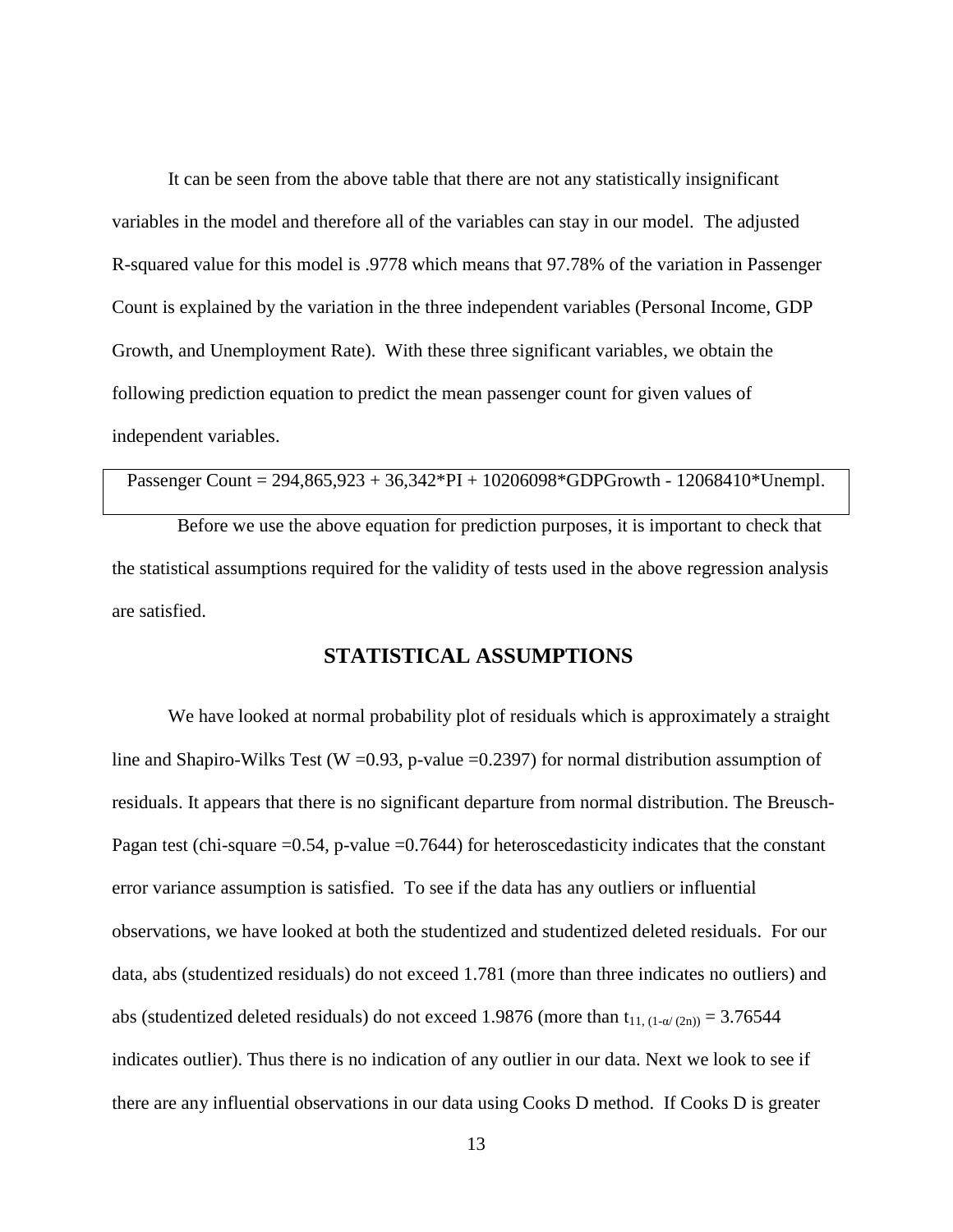It can be seen from the above table that there are not any statistically insignificant variables in the model and therefore all of the variables can stay in our model. The adjusted R-squared value for this model is .9778 which means that 97.78% of the variation in Passenger Count is explained by the variation in the three independent variables (Personal Income, GDP Growth, and Unemployment Rate). With these three significant variables, we obtain the following prediction equation to predict the mean passenger count for given values of independent variables.

```
Passenger Count = 294,865,923 + 36,342*PI + 10206098*GDPGrowth - 12068410*Unempl.
```
Before we use the above equation for prediction purposes, it is important to check that the statistical assumptions required for the validity of tests used in the above regression analysis are satisfied.

#### <span id="page-18-0"></span>**STATISTICAL ASSUMPTIONS**

We have looked at normal probability plot of residuals which is approximately a straight line and Shapiro-Wilks Test (W =  $0.93$ , p-value =  $0.2397$ ) for normal distribution assumption of residuals. It appears that there is no significant departure from normal distribution. The Breusch-Pagan test (chi-square =0.54, p-value =0.7644) for heteroscedasticity indicates that the constant error variance assumption is satisfied. To see if the data has any outliers or influential observations, we have looked at both the studentized and studentized deleted residuals. For our data, abs (studentized residuals) do not exceed 1.781 (more than three indicates no outliers) and abs (studentized deleted residuals) do not exceed 1.9876 (more than  $t_{11, (1-\alpha/(2n))} = 3.76544$ indicates outlier). Thus there is no indication of any outlier in our data. Next we look to see if there are any influential observations in our data using Cooks D method. If Cooks D is greater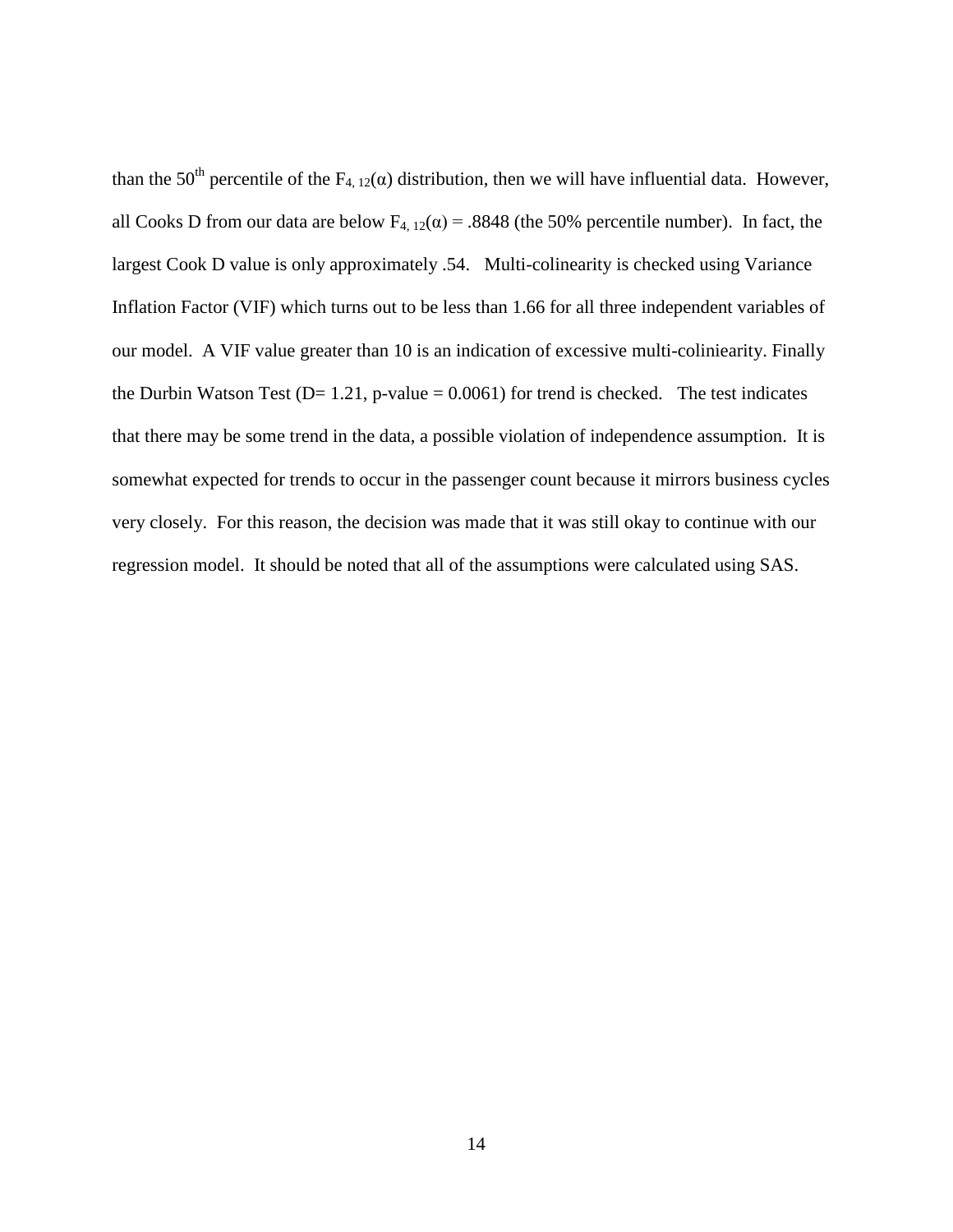than the 50<sup>th</sup> percentile of the  $F_{4, 12}(\alpha)$  distribution, then we will have influential data. However, all Cooks D from our data are below  $F_{4, 12}(\alpha) = .8848$  (the 50% percentile number). In fact, the largest Cook D value is only approximately .54. Multi-colinearity is checked using Variance Inflation Factor (VIF) which turns out to be less than 1.66 for all three independent variables of our model. A VIF value greater than 10 is an indication of excessive multi-coliniearity. Finally the Durbin Watson Test ( $D= 1.21$ , p-value = 0.0061) for trend is checked. The test indicates that there may be some trend in the data, a possible violation of independence assumption. It is somewhat expected for trends to occur in the passenger count because it mirrors business cycles very closely. For this reason, the decision was made that it was still okay to continue with our regression model. It should be noted that all of the assumptions were calculated using SAS.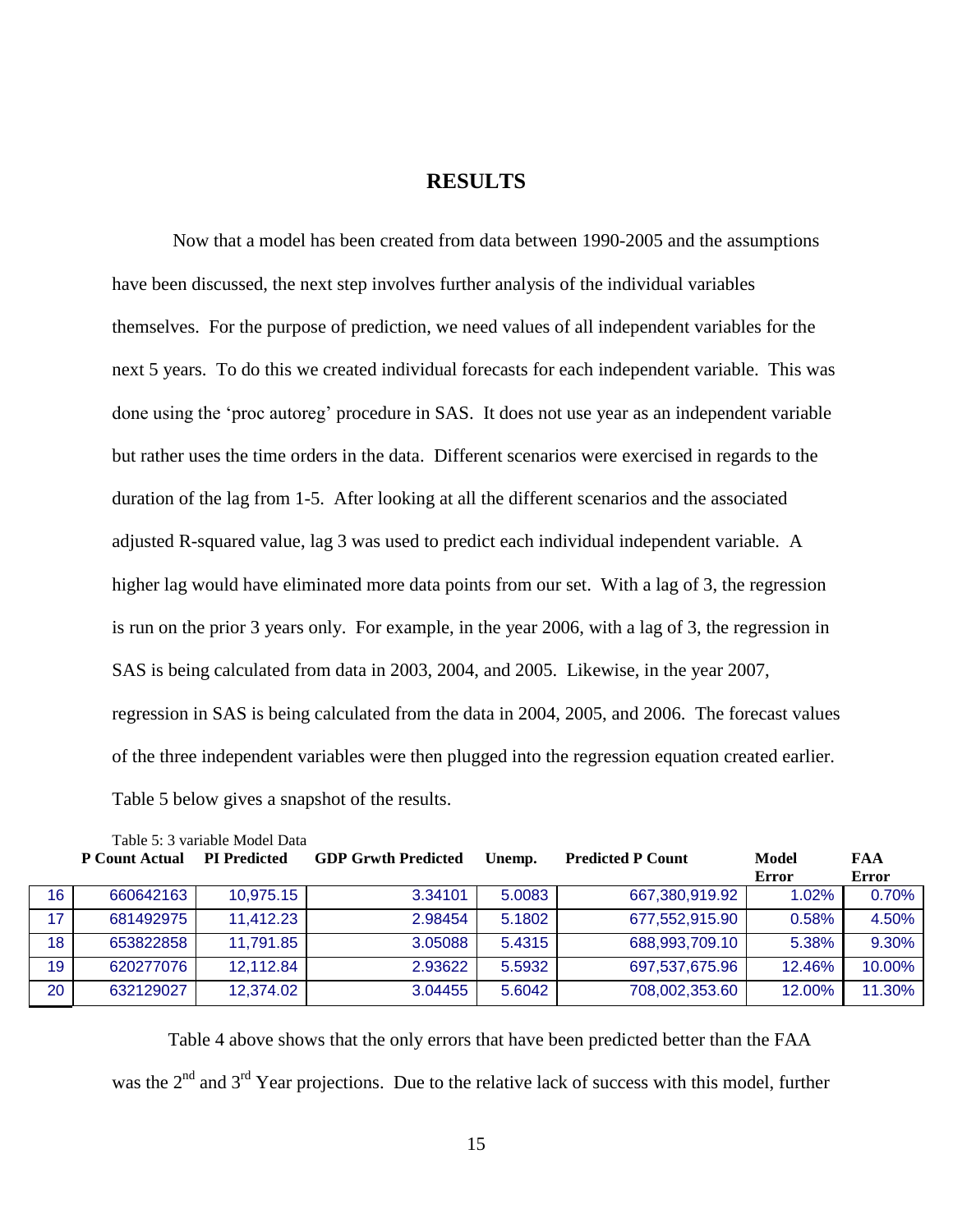#### **RESULTS**

<span id="page-20-0"></span>Now that a model has been created from data between 1990-2005 and the assumptions have been discussed, the next step involves further analysis of the individual variables themselves. For the purpose of prediction, we need values of all independent variables for the next 5 years. To do this we created individual forecasts for each independent variable. This was done using the 'proc autoreg' procedure in SAS. It does not use year as an independent variable but rather uses the time orders in the data. Different scenarios were exercised in regards to the duration of the lag from 1-5. After looking at all the different scenarios and the associated adjusted R-squared value, lag 3 was used to predict each individual independent variable. A higher lag would have eliminated more data points from our set. With a lag of 3, the regression is run on the prior 3 years only. For example, in the year 2006, with a lag of 3, the regression in SAS is being calculated from data in 2003, 2004, and 2005. Likewise, in the year 2007, regression in SAS is being calculated from the data in 2004, 2005, and 2006. The forecast values of the three independent variables were then plugged into the regression equation created earlier. Table 5 below gives a snapshot of the results.

<span id="page-20-1"></span>

|                 | Table 5: 3 variable Model Data |                     |                            |        |                          |              |              |
|-----------------|--------------------------------|---------------------|----------------------------|--------|--------------------------|--------------|--------------|
|                 | <b>P</b> Count Actual          | <b>PI</b> Predicted | <b>GDP Grwth Predicted</b> | Unemp. | <b>Predicted P Count</b> | Model        | FAA          |
|                 |                                |                     |                            |        |                          | <b>Error</b> | <b>Error</b> |
| 16 <sup>°</sup> | 660642163                      | 10,975.15           | 3.34101                    | 5.0083 | 667,380,919.92           | 1.02%        | 0.70%        |
| 17              | 681492975                      | 11,412.23           | 2.98454                    | 5.1802 | 677,552,915.90           | 0.58%        | 4.50%        |
| 18              | 653822858                      | 11,791.85           | 3.05088                    | 5.4315 | 688,993,709.10           | 5.38%        | 9.30%        |
| 19              | 620277076                      | 12,112.84           | 2.93622                    | 5.5932 | 697,537,675.96           | 12.46%       | 10.00%       |
| 20              | 632129027                      | 12,374.02           | 3.04455                    | 5.6042 | 708,002,353.60           | 12.00%       | 11.30%       |

Table 4 above shows that the only errors that have been predicted better than the FAA was the  $2<sup>nd</sup>$  and  $3<sup>rd</sup>$  Year projections. Due to the relative lack of success with this model, further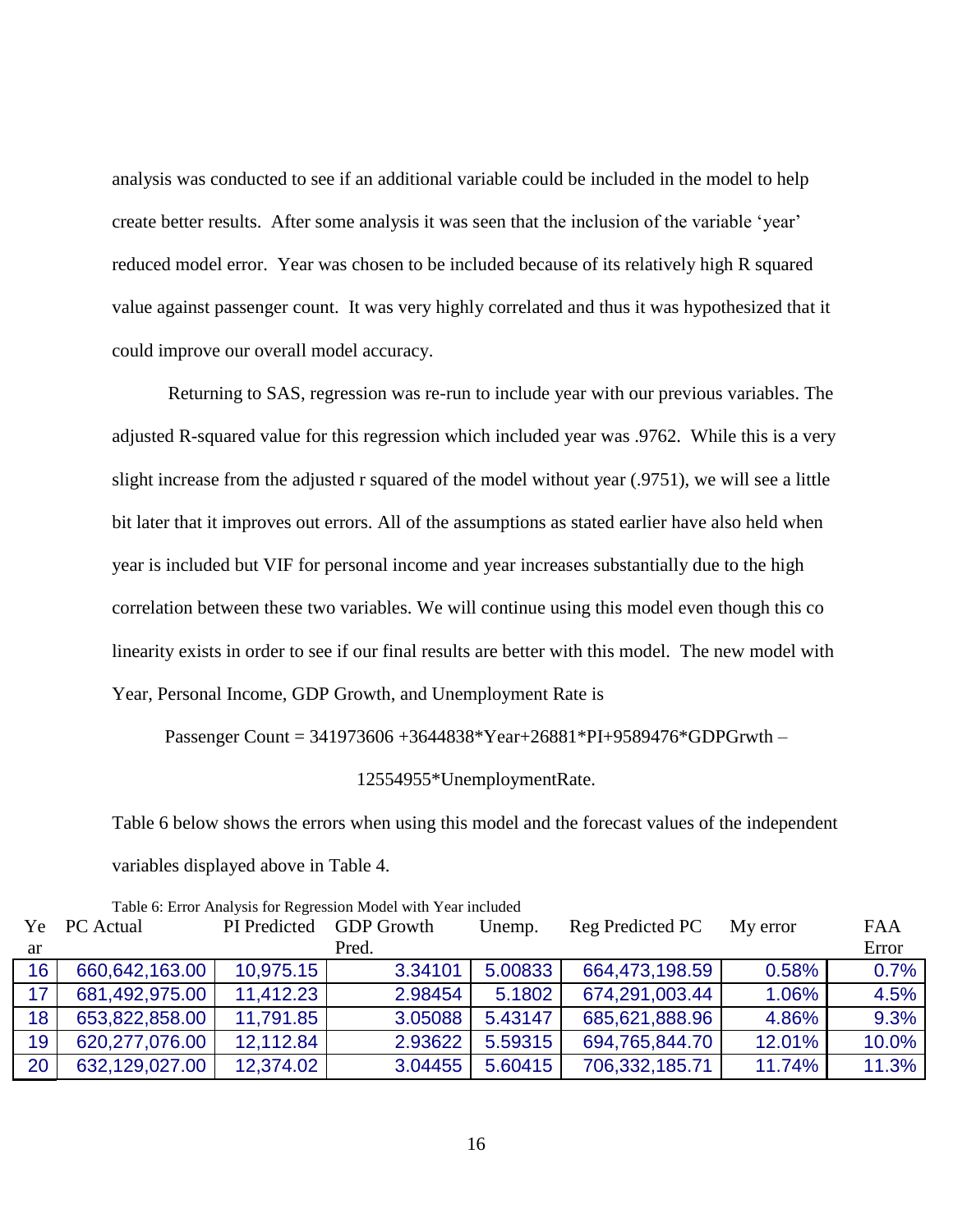analysis was conducted to see if an additional variable could be included in the model to help create better results. After some analysis it was seen that the inclusion of the variable 'year' reduced model error. Year was chosen to be included because of its relatively high R squared value against passenger count. It was very highly correlated and thus it was hypothesized that it could improve our overall model accuracy.

Returning to SAS, regression was re-run to include year with our previous variables. The adjusted R-squared value for this regression which included year was .9762. While this is a very slight increase from the adjusted r squared of the model without year (.9751), we will see a little bit later that it improves out errors. All of the assumptions as stated earlier have also held when year is included but VIF for personal income and year increases substantially due to the high correlation between these two variables. We will continue using this model even though this co linearity exists in order to see if our final results are better with this model. The new model with Year, Personal Income, GDP Growth, and Unemployment Rate is

#### Passenger Count = 341973606 +3644838\*Year+26881\*PI+9589476\*GDPGrwth –

#### 12554955\*UnemploymentRate.

Table 6 below shows the errors when using this model and the forecast values of the independent variables displayed above in Table 4.

| Tuble 0. Entor Thin you Tor Regression moder with Tear increased |                  |              |                   |         |                  |          |       |
|------------------------------------------------------------------|------------------|--------------|-------------------|---------|------------------|----------|-------|
| Ye                                                               | <b>PC</b> Actual | PI Predicted | <b>GDP</b> Growth | Unemp.  | Reg Predicted PC | My error | FAA   |
| ar                                                               |                  |              | Pred.             |         |                  |          | Error |
| 16 <sup>°</sup>                                                  | 660,642,163.00   | 10,975.15    | 3.34101           | 5.00833 | 664,473,198.59   | 0.58%    | 0.7%  |
| 17 <sup>2</sup>                                                  | 681,492,975.00   | 11,412.23    | 2.98454           | 5.1802  | 674,291,003.44   | 1.06%    | 4.5%  |
| 18 <sup>°</sup>                                                  | 653,822,858.00   | 11,791.85    | 3.05088           | 5.43147 | 685,621,888.96   | 4.86%    | 9.3%  |
| 19                                                               | 620,277,076.00   | 12,112.84    | 2.93622           | 5.59315 | 694,765,844.70   | 12.01%   | 10.0% |
| 20                                                               | 632,129,027.00   | 12,374.02    | 3.04455           | 5.60415 | 706,332,185.71   | 11.74%   | 11.3% |

<span id="page-21-0"></span>Table 6: Error Analysis for Regression Model with Year included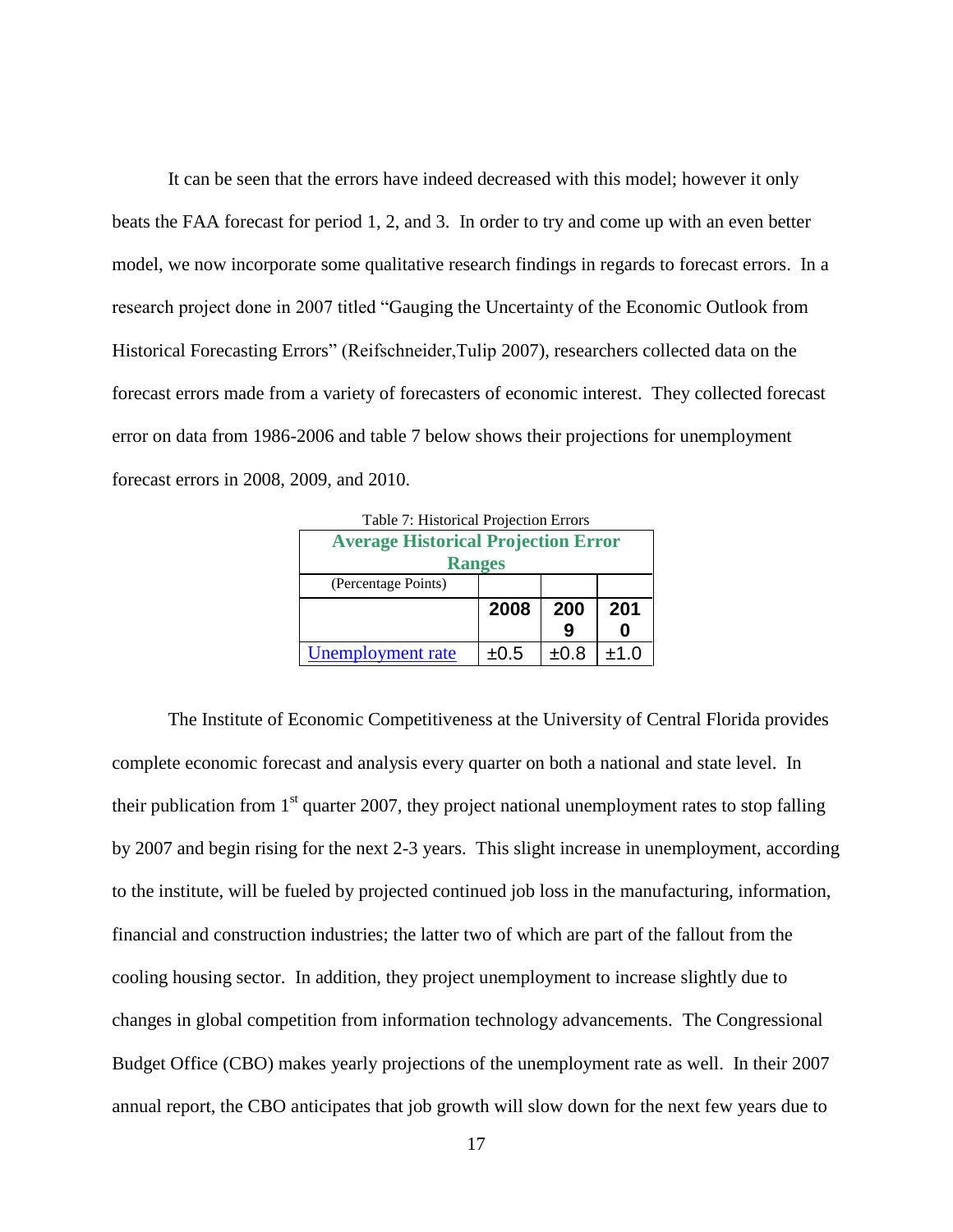It can be seen that the errors have indeed decreased with this model; however it only beats the FAA forecast for period 1, 2, and 3. In order to try and come up with an even better model, we now incorporate some qualitative research findings in regards to forecast errors. In a research project done in 2007 titled ["Gauging the Uncertainty of the Economic Outlook from](http://www.federalreserve.gov/pubs/feds/2007/200760/200760abs.html)  [Historical Forecasting Errors"](http://www.federalreserve.gov/pubs/feds/2007/200760/200760abs.html) (Reifschneider,Tulip 2007), researchers collected data on the forecast errors made from a variety of forecasters of economic interest. They collected forecast error on data from 1986-2006 and table 7 below shows their projections for unemployment forecast errors in 2008, 2009, and 2010.

<span id="page-22-0"></span>

| Table 7: Historical Projection Errors      |           |      |      |  |  |  |  |
|--------------------------------------------|-----------|------|------|--|--|--|--|
| <b>Average Historical Projection Error</b> |           |      |      |  |  |  |  |
| <b>Ranges</b>                              |           |      |      |  |  |  |  |
| (Percentage Points)                        |           |      |      |  |  |  |  |
|                                            | 2008      | 200  | 201  |  |  |  |  |
|                                            |           |      |      |  |  |  |  |
| Unemployment rate                          | $\pm 0.5$ | ±0.8 | ±1.0 |  |  |  |  |

The Institute of Economic Competitiveness at the University of Central Florida provides complete economic forecast and analysis every quarter on both a national and state level. In their publication from  $1<sup>st</sup>$  quarter 2007, they project national unemployment rates to stop falling by 2007 and begin rising for the next 2-3 years. This slight increase in unemployment, according to the institute, will be fueled by projected continued job loss in the manufacturing, information, financial and construction industries; the latter two of which are part of the fallout from the cooling housing sector. In addition, they project unemployment to increase slightly due to changes in global competition from information technology advancements. The Congressional Budget Office (CBO) makes yearly projections of the unemployment rate as well. In their 2007 annual report, the CBO anticipates that job growth will slow down for the next few years due to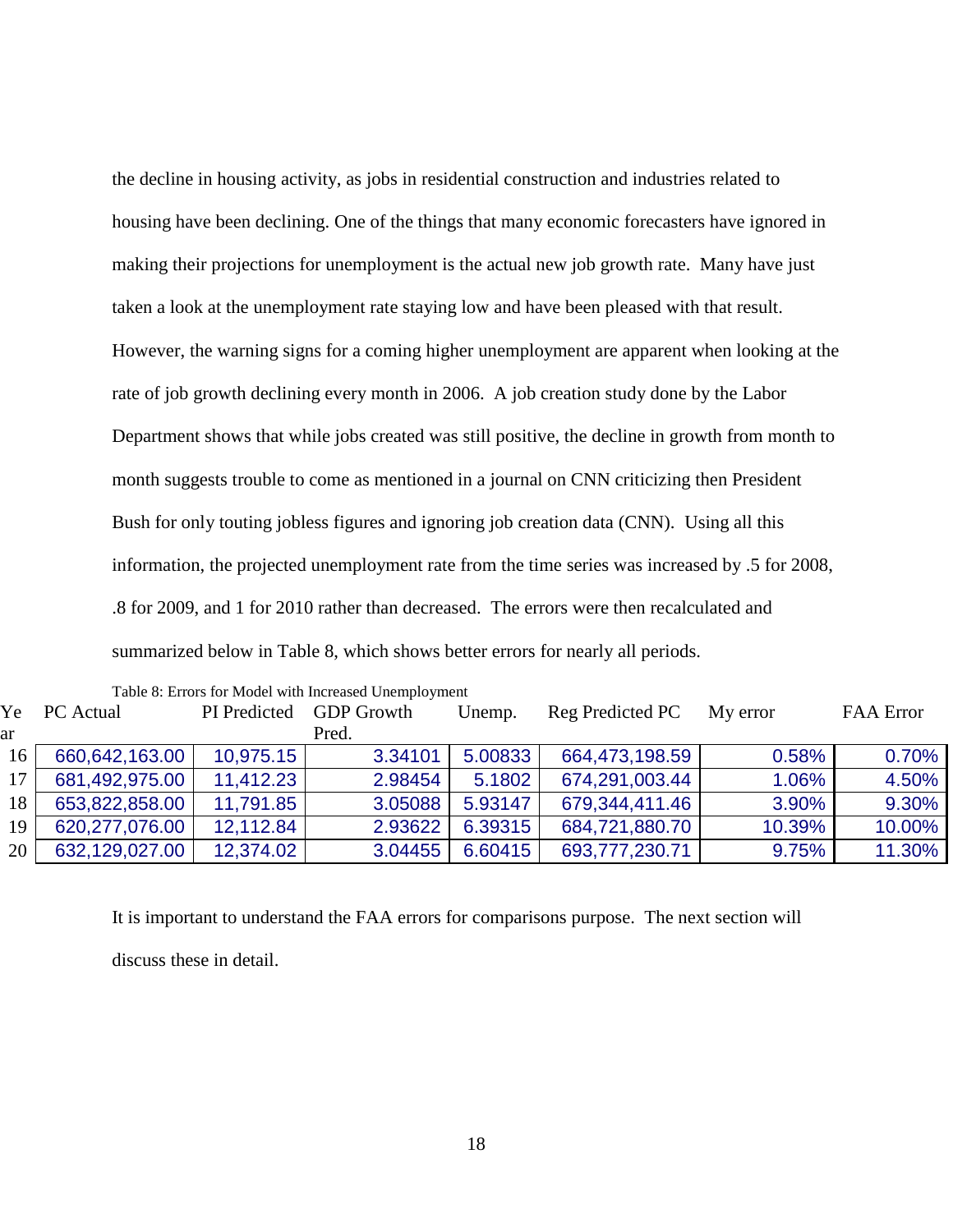the decline in housing activity, as jobs in residential construction and industries related to housing have been declining. One of the things that many economic forecasters have ignored in making their projections for unemployment is the actual new job growth rate. Many have just taken a look at the unemployment rate staying low and have been pleased with that result. However, the warning signs for a coming higher unemployment are apparent when looking at the rate of job growth declining every month in 2006. A job creation study done by the Labor Department shows that while jobs created was still positive, the decline in growth from month to month suggests trouble to come as mentioned in a journal on CNN criticizing then President Bush for only touting jobless figures and ignoring job creation data (CNN). Using all this information, the projected unemployment rate from the time series was increased by .5 for 2008, .8 for 2009, and 1 for 2010 rather than decreased. The errors were then recalculated and summarized below in Table 8, which shows better errors for nearly all periods.

|    |                |              | Tuble 0. Effort for moder with hiereused enempto intent |         |                  |          |                  |
|----|----------------|--------------|---------------------------------------------------------|---------|------------------|----------|------------------|
|    | Ye PC Actual   | PI Predicted | <b>GDP Growth</b>                                       | Unemp.  | Reg Predicted PC | My error | <b>FAA Error</b> |
| ar |                |              | Pred.                                                   |         |                  |          |                  |
| 16 | 660,642,163.00 | 10,975.15    | 3.34101                                                 | 5.00833 | 664,473,198.59   | 0.58%    | 0.70%            |
| 17 | 681,492,975.00 | 11,412.23    | 2.98454                                                 | 5.1802  | 674,291,003.44   | 1.06%    | 4.50%            |
| 18 | 653,822,858.00 | 11,791.85    | 3.05088                                                 | 5.93147 | 679,344,411.46   | 3.90%    | 9.30%            |
| 19 | 620,277,076.00 | 12,112.84    | 2.93622                                                 | 6.39315 | 684,721,880.70   | 10.39%   | 10.00%           |
| 20 | 632,129,027.00 | 12,374.02    | 3.04455                                                 | 6.60415 | 693,777,230.71   | 9.75%    | 11.30%           |
|    |                |              |                                                         |         |                  |          |                  |

<span id="page-23-0"></span>Table 8: Errors for Model with Increased Unemployment

It is important to understand the FAA errors for comparisons purpose. The next section will discuss these in detail.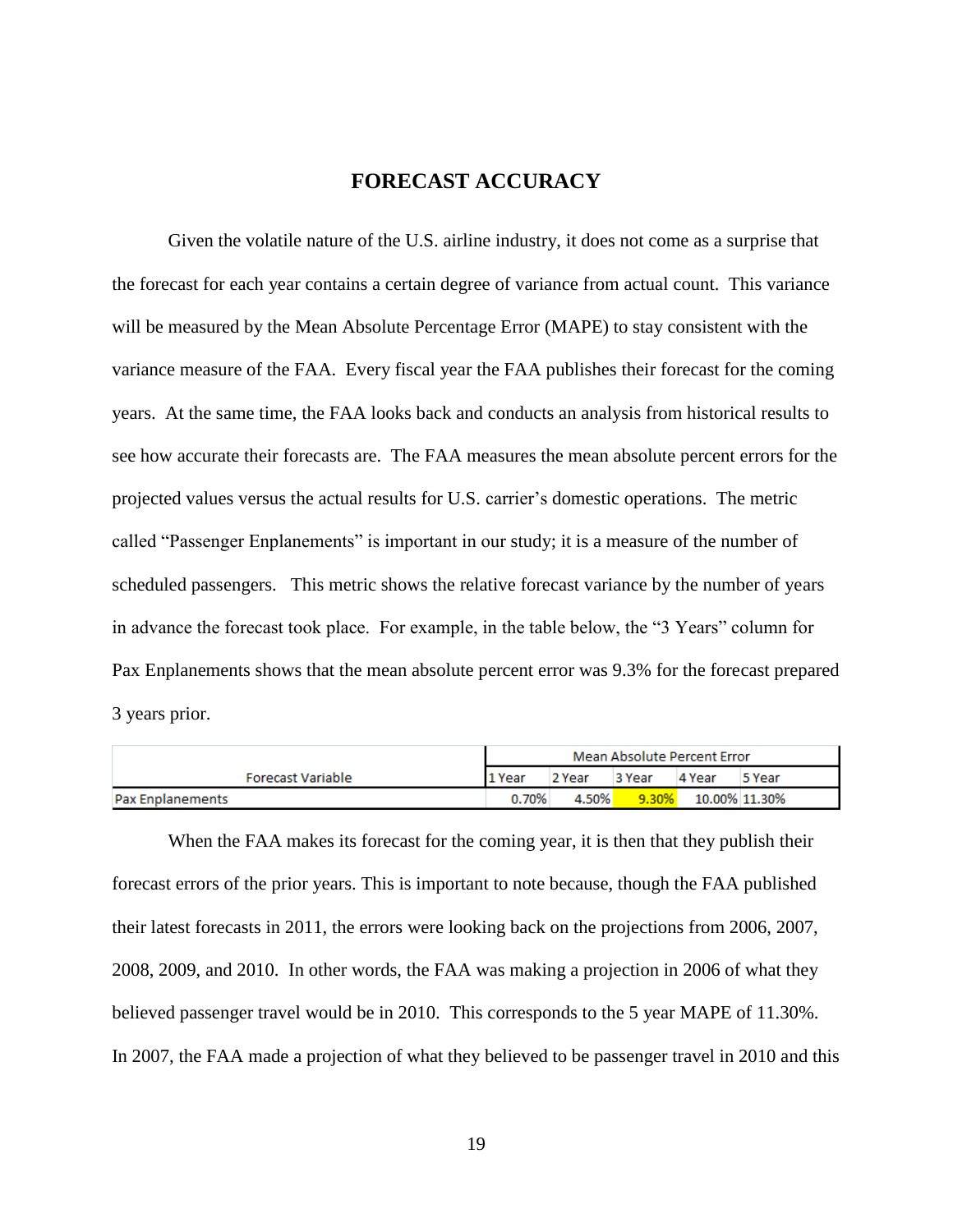#### **FORECAST ACCURACY**

<span id="page-24-0"></span>Given the volatile nature of the U.S. airline industry, it does not come as a surprise that the forecast for each year contains a certain degree of variance from actual count. This variance will be measured by the Mean Absolute Percentage Error (MAPE) to stay consistent with the variance measure of the FAA. Every fiscal year the FAA publishes their forecast for the coming years. At the same time, the FAA looks back and conducts an analysis from historical results to see how accurate their forecasts are. The FAA measures the mean absolute percent errors for the projected values versus the actual results for U.S. carrier's domestic operations. The metric called "Passenger Enplanements" is important in our study; it is a measure of the number of scheduled passengers. This metric shows the relative forecast variance by the number of years in advance the forecast took place. For example, in the table below, the "3 Years" column for Pax Enplanements shows that the mean absolute percent error was 9.3% for the forecast prepared 3 years prior.

|                          | Mean Absolute Percent Error |        |          |        |               |
|--------------------------|-----------------------------|--------|----------|--------|---------------|
| <b>Forecast Variable</b> | 11 Year                     | 2 Year | 3 Year   | 4 Year | 5 Year        |
| <b>Pax Enplanements</b>  | 0.70%                       | 4.50%  | $9.30\%$ |        | 10.00% 11.30% |

When the FAA makes its forecast for the coming year, it is then that they publish their forecast errors of the prior years. This is important to note because, though the FAA published their latest forecasts in 2011, the errors were looking back on the projections from 2006, 2007, 2008, 2009, and 2010. In other words, the FAA was making a projection in 2006 of what they believed passenger travel would be in 2010. This corresponds to the 5 year MAPE of 11.30%. In 2007, the FAA made a projection of what they believed to be passenger travel in 2010 and this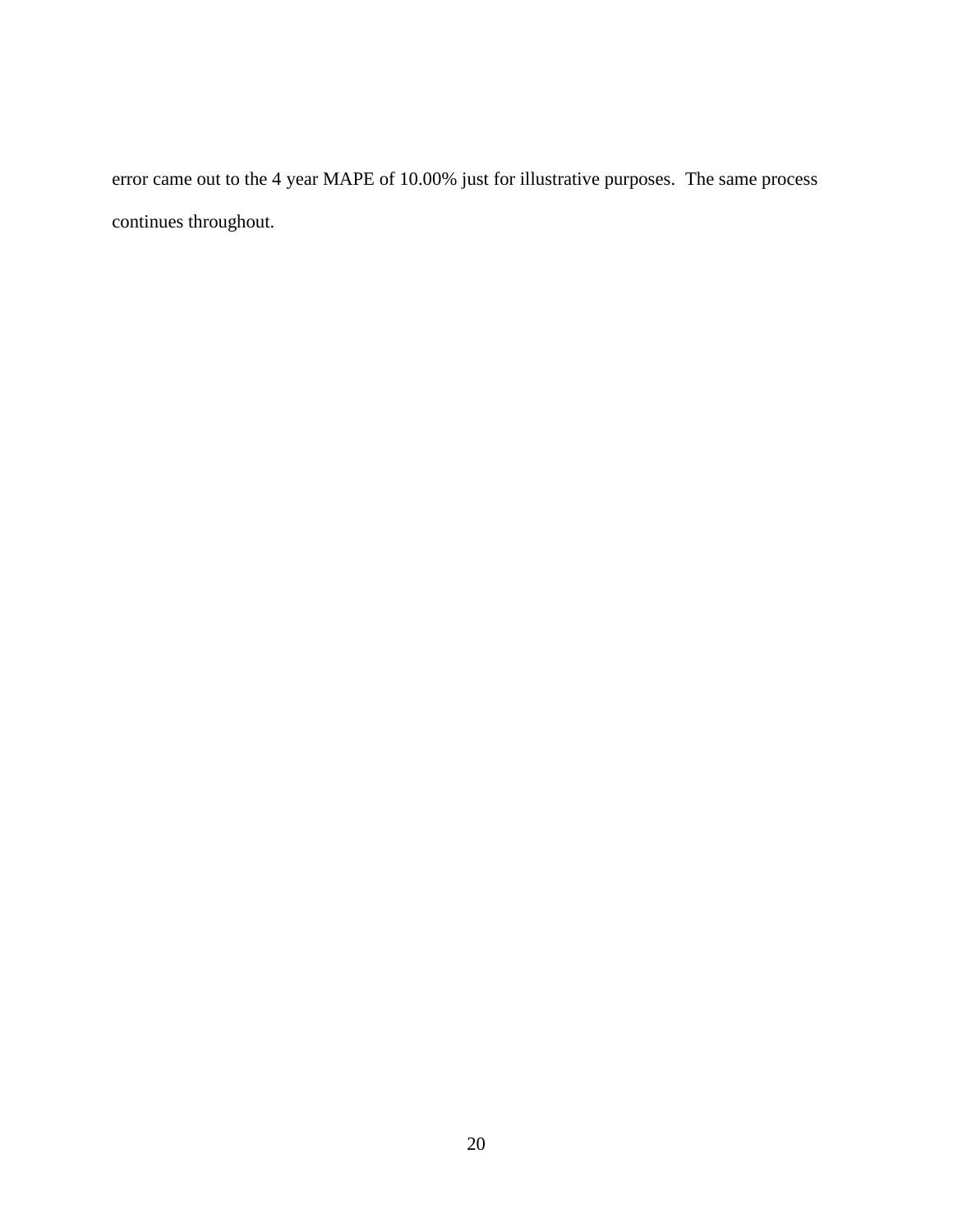error came out to the 4 year MAPE of 10.00% just for illustrative purposes. The same process continues throughout.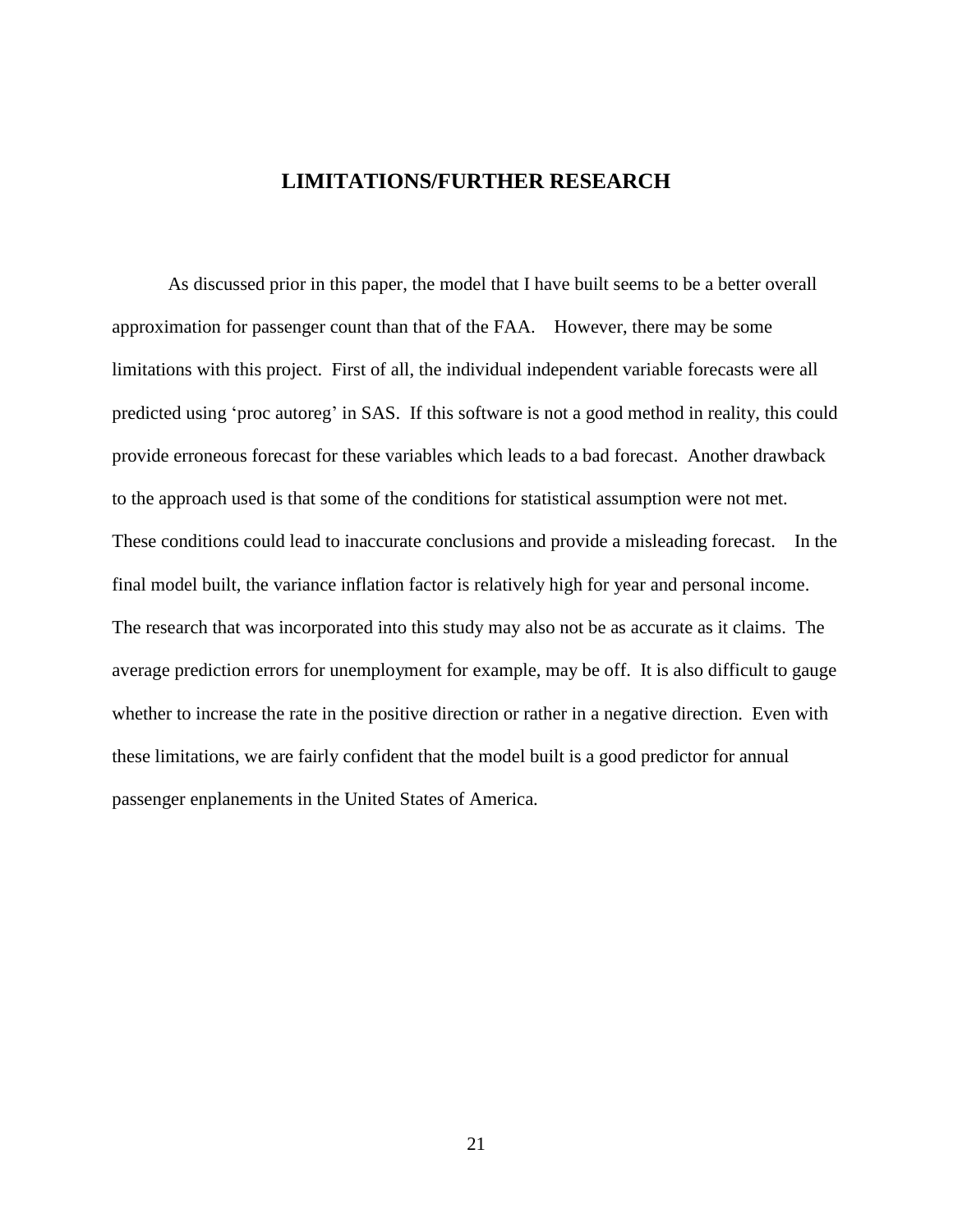#### **LIMITATIONS/FURTHER RESEARCH**

<span id="page-26-0"></span>As discussed prior in this paper, the model that I have built seems to be a better overall approximation for passenger count than that of the FAA. However, there may be some limitations with this project. First of all, the individual independent variable forecasts were all predicted using 'proc autoreg' in SAS. If this software is not a good method in reality, this could provide erroneous forecast for these variables which leads to a bad forecast. Another drawback to the approach used is that some of the conditions for statistical assumption were not met. These conditions could lead to inaccurate conclusions and provide a misleading forecast. In the final model built, the variance inflation factor is relatively high for year and personal income. The research that was incorporated into this study may also not be as accurate as it claims. The average prediction errors for unemployment for example, may be off. It is also difficult to gauge whether to increase the rate in the positive direction or rather in a negative direction. Even with these limitations, we are fairly confident that the model built is a good predictor for annual passenger enplanements in the United States of America.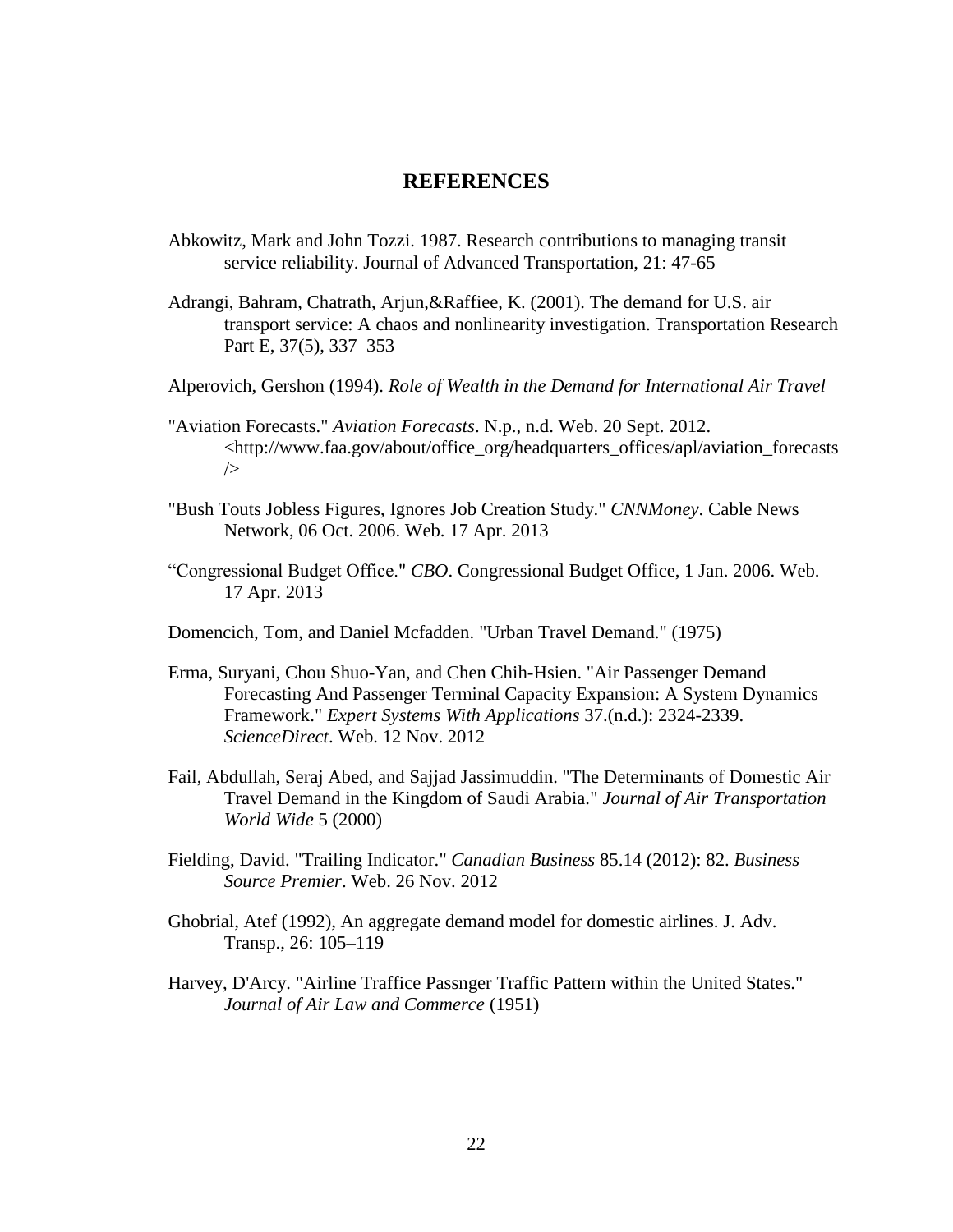#### **REFERENCES**

- <span id="page-27-0"></span>Abkowitz, Mark and John Tozzi. 1987. Research contributions to managing transit service reliability. Journal of Advanced Transportation, 21: 47-65
- Adrangi, Bahram, Chatrath, Arjun,&Raffiee, K. (2001). The demand for U.S. air transport service: A chaos and nonlinearity investigation. Transportation Research Part E, 37(5), 337–353
- Alperovich, Gershon (1994). *Role of Wealth in the Demand for International Air Travel*
- "Aviation Forecasts." *Aviation Forecasts*. N.p., n.d. Web. 20 Sept. 2012. <http://www.faa.gov/about/office\_org/headquarters\_offices/apl/aviation\_forecasts />
- "Bush Touts Jobless Figures, Ignores Job Creation Study." *CNNMoney*. Cable News Network, 06 Oct. 2006. Web. 17 Apr. 2013
- "Congressional Budget Office." *CBO*. Congressional Budget Office, 1 Jan. 2006. Web. 17 Apr. 2013
- Domencich, Tom, and Daniel Mcfadden. "Urban Travel Demand." (1975)
- Erma, Suryani, Chou Shuo-Yan, and Chen Chih-Hsien. "Air Passenger Demand Forecasting And Passenger Terminal Capacity Expansion: A System Dynamics Framework." *Expert Systems With Applications* 37.(n.d.): 2324-2339. *ScienceDirect*. Web. 12 Nov. 2012
- Fail, Abdullah, Seraj Abed, and Sajjad Jassimuddin. "The Determinants of Domestic Air Travel Demand in the Kingdom of Saudi Arabia." *Journal of Air Transportation World Wide* 5 (2000)
- Fielding, David. "Trailing Indicator." *Canadian Business* 85.14 (2012): 82. *Business Source Premier*. Web. 26 Nov. 2012
- Ghobrial, Atef (1992), An aggregate demand model for domestic airlines. J. Adv. Transp., 26: 105–119
- Harvey, D'Arcy. "Airline Traffice Passnger Traffic Pattern within the United States." *Journal of Air Law and Commerce* (1951)